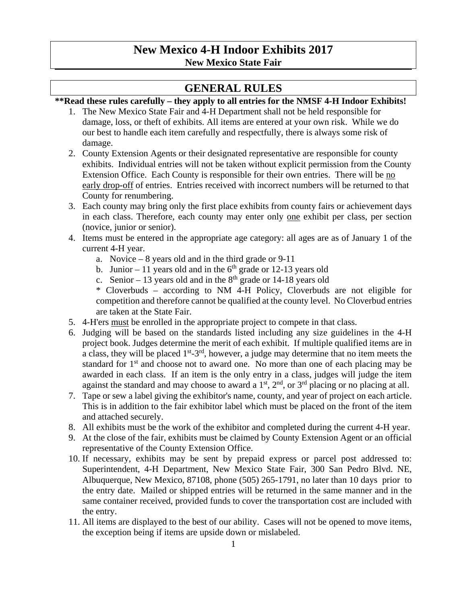## **New Mexico 4-H Indoor Exhibits 2017 New Mexico State Fair**

## **GENERAL RULES**

### **\*\*Read these rules carefully – they apply to all entries for the NMSF 4-H Indoor Exhibits!**

- 1. The New Mexico State Fair and 4-H Department shall not be held responsible for damage, loss, or theft of exhibits. All items are entered at your own risk. While we do our best to handle each item carefully and respectfully, there is always some risk of damage.
- 2. County Extension Agents or their designated representative are responsible for county exhibits. Individual entries will not be taken without explicit permission from the County Extension Office. Each County is responsible for their own entries. There will be no early drop-off of entries. Entries received with incorrect numbers will be returned to that County for renumbering.
- 3. Each county may bring only the first place exhibits from county fairs or achievement days in each class. Therefore, each county may enter only one exhibit per class, per section (novice, junior or senior).
- 4. Items must be entered in the appropriate age category: all ages are as of January 1 of the current 4-H year.
	- a. Novice  $-8$  years old and in the third grade or 9-11
	- b. Junior 11 years old and in the  $6<sup>th</sup>$  grade or 12-13 years old
	- c. Senior 13 years old and in the  $8<sup>th</sup>$  grade or 14-18 years old
	- \* Cloverbuds according to NM 4-H Policy, Cloverbuds are not eligible for competition and therefore cannot be qualified at the county level. No Cloverbud entries are taken at the State Fair.
- 5. 4-H'ers must be enrolled in the appropriate project to compete in that class.
- 6. Judging will be based on the standards listed including any size guidelines in the 4-H project book. Judges determine the merit of each exhibit. If multiple qualified items are in a class, they will be placed  $1^{st} - 3^{rd}$ , however, a judge may determine that no item meets the standard for  $1<sup>st</sup>$  and choose not to award one. No more than one of each placing may be awarded in each class. If an item is the only entry in a class, judges will judge the item against the standard and may choose to award a  $1<sup>st</sup>$ ,  $2<sup>nd</sup>$ , or  $3<sup>rd</sup>$  placing or no placing at all.
- 7. Tape or sew a label giving the exhibitor's name, county, and year of project on each article. This is in addition to the fair exhibitor label which must be placed on the front of the item and attached securely.
- 8. All exhibits must be the work of the exhibitor and completed during the current 4-H year.
- 9. At the close of the fair, exhibits must be claimed by County Extension Agent or an official representative of the County Extension Office.
- 10. If necessary, exhibits may be sent by prepaid express or parcel post addressed to: Superintendent, 4-H Department, New Mexico State Fair, 300 San Pedro Blvd. NE, Albuquerque, New Mexico, 87108, phone (505) 265-1791, no later than 10 days prior to the entry date. Mailed or shipped entries will be returned in the same manner and in the same container received, provided funds to cover the transportation cost are included with the entry.
- 11. All items are displayed to the best of our ability. Cases will not be opened to move items, the exception being if items are upside down or mislabeled.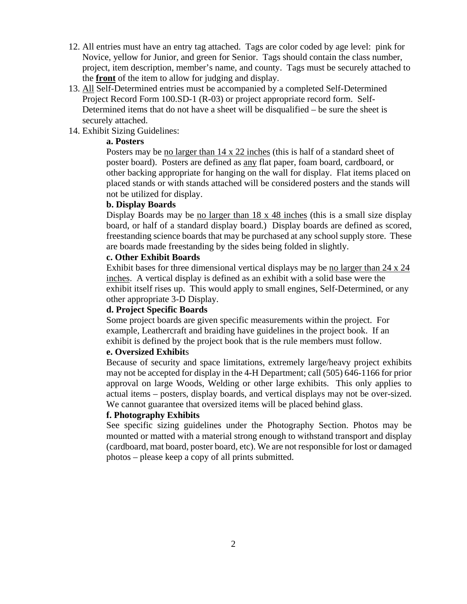- 12. All entries must have an entry tag attached. Tags are color coded by age level: pink for Novice, yellow for Junior, and green for Senior. Tags should contain the class number, project, item description, member's name, and county. Tags must be securely attached to the **front** of the item to allow for judging and display.
- 13. All Self-Determined entries must be accompanied by a completed Self-Determined Project Record Form 100.SD-1 (R-03) or project appropriate record form. Self-Determined items that do not have a sheet will be disqualified – be sure the sheet is securely attached.

### 14. Exhibit Sizing Guidelines:

### **a. Posters**

Posters may be no larger than 14 x 22 inches (this is half of a standard sheet of poster board). Posters are defined as any flat paper, foam board, cardboard, or other backing appropriate for hanging on the wall for display. Flat items placed on placed stands or with stands attached will be considered posters and the stands will not be utilized for display.

#### **b. Display Boards**

Display Boards may be no larger than 18 x 48 inches (this is a small size display board, or half of a standard display board.) Display boards are defined as scored, freestanding science boards that may be purchased at any school supply store. These are boards made freestanding by the sides being folded in slightly.

#### **c. Other Exhibit Boards**

Exhibit bases for three dimensional vertical displays may be no larger than 24 x 24 inches. A vertical display is defined as an exhibit with a solid base were the exhibit itself rises up. This would apply to small engines, Self-Determined, or any other appropriate 3-D Display.

### **d. Project Specific Boards**

Some project boards are given specific measurements within the project. For example, Leathercraft and braiding have guidelines in the project book. If an exhibit is defined by the project book that is the rule members must follow.

### **e. Oversized Exhibit**s

Because of security and space limitations, extremely large/heavy project exhibits may not be accepted for display in the 4-H Department; call (505) 646-1166 for prior approval on large Woods, Welding or other large exhibits. This only applies to actual items – posters, display boards, and vertical displays may not be over-sized. We cannot guarantee that oversized items will be placed behind glass.

### **f. Photography Exhibits**

See specific sizing guidelines under the Photography Section. Photos may be mounted or matted with a material strong enough to withstand transport and display (cardboard, mat board, poster board, etc). We are not responsible for lost or damaged photos – please keep a copy of all prints submitted.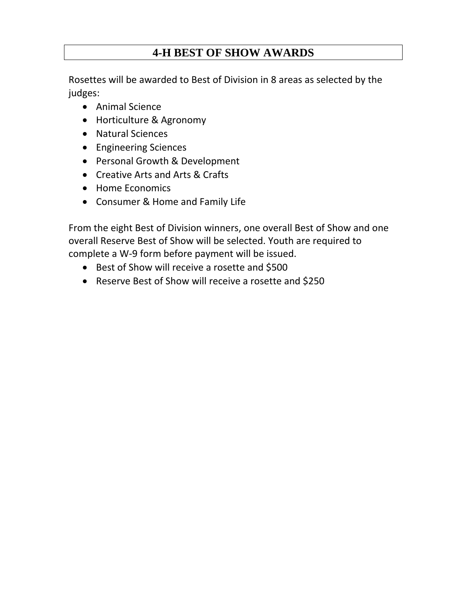## **4-H BEST OF SHOW AWARDS**

 Rosettes will be awarded to Best of Division in 8 areas as selected by the judges:

- Animal Science
- Horticulture & Agronomy
- Natural Sciences
- Engineering Sciences
- Personal Growth & Development
- Creative Arts and Arts & Crafts
- Home Economics
- Consumer & Home and Family Life

 From the eight Best of Division winners, one overall Best of Show and one overall Reserve Best of Show will be selected. Youth are required to complete a W‐9 form before payment will be issued.

- Best of Show will receive a rosette and \$500
- Reserve Best of Show will receive a rosette and \$250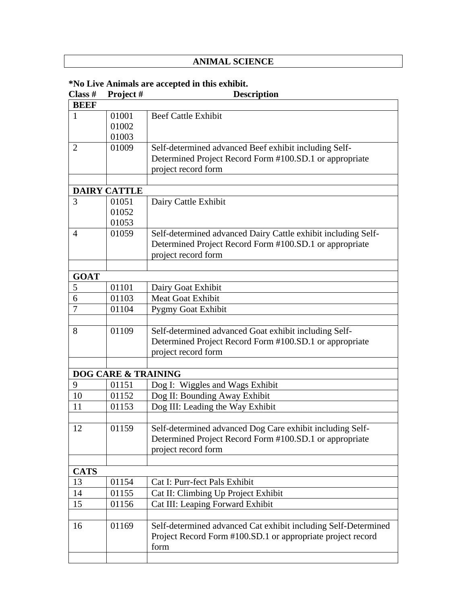## **ANIMAL SCIENCE**

## **\*No Live Animals are accepted in this exhibit.**

| Class #        | Project #                      | <b>Description</b>                                             |
|----------------|--------------------------------|----------------------------------------------------------------|
| <b>BEEF</b>    |                                |                                                                |
| $\mathbf{1}$   | 01001                          | <b>Beef Cattle Exhibit</b>                                     |
|                | 01002                          |                                                                |
|                | 01003                          |                                                                |
| $\overline{2}$ | 01009                          | Self-determined advanced Beef exhibit including Self-          |
|                |                                | Determined Project Record Form #100.SD.1 or appropriate        |
|                |                                | project record form                                            |
|                |                                |                                                                |
|                | <b>DAIRY CATTLE</b>            |                                                                |
| 3              | 01051                          | Dairy Cattle Exhibit                                           |
|                | 01052                          |                                                                |
|                | 01053                          |                                                                |
| 4              | 01059                          | Self-determined advanced Dairy Cattle exhibit including Self-  |
|                |                                | Determined Project Record Form #100.SD.1 or appropriate        |
|                |                                | project record form                                            |
|                |                                |                                                                |
| <b>GOAT</b>    |                                |                                                                |
| 5              | 01101                          | Dairy Goat Exhibit                                             |
| 6              | 01103                          | <b>Meat Goat Exhibit</b>                                       |
| 7              | 01104                          | Pygmy Goat Exhibit                                             |
|                |                                |                                                                |
| 8              | 01109                          | Self-determined advanced Goat exhibit including Self-          |
|                |                                | Determined Project Record Form #100.SD.1 or appropriate        |
|                |                                | project record form                                            |
|                |                                |                                                                |
|                | <b>DOG CARE &amp; TRAINING</b> |                                                                |
| 9              | 01151                          | Dog I: Wiggles and Wags Exhibit                                |
| 10             | 01152                          | Dog II: Bounding Away Exhibit                                  |
| 11             | 01153                          | Dog III: Leading the Way Exhibit                               |
|                |                                |                                                                |
| 12             | 01159                          | Self-determined advanced Dog Care exhibit including Self-      |
|                |                                | Determined Project Record Form #100.SD.1 or appropriate        |
|                |                                | project record form                                            |
|                |                                |                                                                |
| <b>CATS</b>    |                                |                                                                |
| 13             | 01154                          | Cat I: Purr-fect Pals Exhibit                                  |
| 14             | 01155                          | Cat II: Climbing Up Project Exhibit                            |
| 15             | 01156                          | Cat III: Leaping Forward Exhibit                               |
|                |                                |                                                                |
| 16             | 01169                          | Self-determined advanced Cat exhibit including Self-Determined |
|                |                                | Project Record Form #100.SD.1 or appropriate project record    |
|                |                                | form                                                           |
|                |                                |                                                                |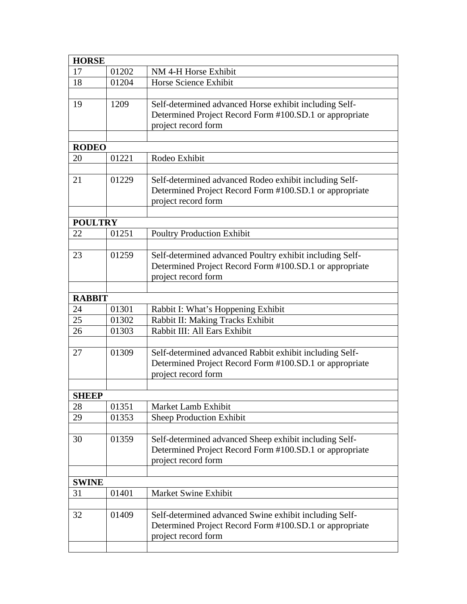| <b>HORSE</b>   |       |                                                                                                                                          |  |
|----------------|-------|------------------------------------------------------------------------------------------------------------------------------------------|--|
| 17             | 01202 | NM 4-H Horse Exhibit                                                                                                                     |  |
| 18             | 01204 | Horse Science Exhibit                                                                                                                    |  |
|                |       |                                                                                                                                          |  |
| 19             | 1209  | Self-determined advanced Horse exhibit including Self-                                                                                   |  |
|                |       | Determined Project Record Form #100.SD.1 or appropriate<br>project record form                                                           |  |
|                |       |                                                                                                                                          |  |
| <b>RODEO</b>   |       |                                                                                                                                          |  |
| 20             | 01221 | Rodeo Exhibit                                                                                                                            |  |
|                |       |                                                                                                                                          |  |
| 21             | 01229 | Self-determined advanced Rodeo exhibit including Self-<br>Determined Project Record Form #100.SD.1 or appropriate                        |  |
|                |       | project record form                                                                                                                      |  |
|                |       |                                                                                                                                          |  |
| <b>POULTRY</b> |       |                                                                                                                                          |  |
| 22             | 01251 | <b>Poultry Production Exhibit</b>                                                                                                        |  |
|                |       |                                                                                                                                          |  |
| 23             | 01259 | Self-determined advanced Poultry exhibit including Self-                                                                                 |  |
|                |       | Determined Project Record Form #100.SD.1 or appropriate                                                                                  |  |
|                |       | project record form                                                                                                                      |  |
|                |       |                                                                                                                                          |  |
| <b>RABBIT</b>  |       |                                                                                                                                          |  |
| 24             | 01301 | Rabbit I: What's Hoppening Exhibit                                                                                                       |  |
| 25             | 01302 | Rabbit II: Making Tracks Exhibit                                                                                                         |  |
| 26             | 01303 | Rabbit III: All Ears Exhibit                                                                                                             |  |
|                |       |                                                                                                                                          |  |
| 27             | 01309 | Self-determined advanced Rabbit exhibit including Self-                                                                                  |  |
|                |       | Determined Project Record Form #100.SD.1 or appropriate<br>project record form                                                           |  |
|                |       |                                                                                                                                          |  |
| <b>SHEEP</b>   |       |                                                                                                                                          |  |
| 28             | 01351 | Market Lamb Exhibit                                                                                                                      |  |
| 29             | 01353 | <b>Sheep Production Exhibit</b>                                                                                                          |  |
|                |       |                                                                                                                                          |  |
| 30             | 01359 | Self-determined advanced Sheep exhibit including Self-                                                                                   |  |
|                |       | Determined Project Record Form #100.SD.1 or appropriate                                                                                  |  |
|                |       | project record form                                                                                                                      |  |
|                |       |                                                                                                                                          |  |
| <b>SWINE</b>   |       |                                                                                                                                          |  |
| 31             | 01401 | Market Swine Exhibit                                                                                                                     |  |
|                |       |                                                                                                                                          |  |
| 32             | 01409 | Self-determined advanced Swine exhibit including Self-<br>Determined Project Record Form #100.SD.1 or appropriate<br>project record form |  |
|                |       |                                                                                                                                          |  |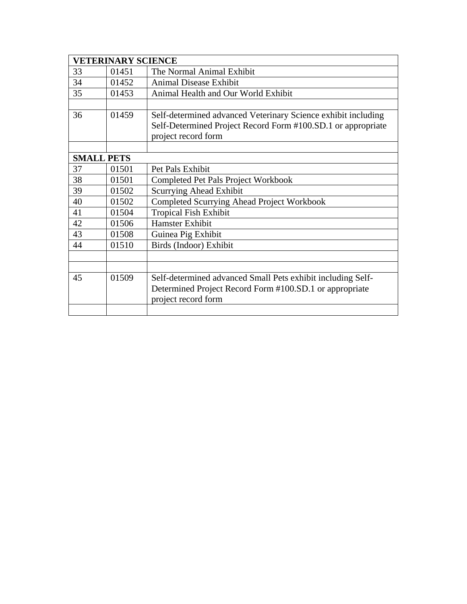|                   | <b>VETERINARY SCIENCE</b> |                                                               |
|-------------------|---------------------------|---------------------------------------------------------------|
| 33                | 01451                     | The Normal Animal Exhibit                                     |
| 34                | 01452                     | <b>Animal Disease Exhibit</b>                                 |
| 35                | 01453                     | Animal Health and Our World Exhibit                           |
|                   |                           |                                                               |
| 36                | 01459                     | Self-determined advanced Veterinary Science exhibit including |
|                   |                           | Self-Determined Project Record Form #100.SD.1 or appropriate  |
|                   |                           | project record form                                           |
|                   |                           |                                                               |
| <b>SMALL PETS</b> |                           |                                                               |
| 37                | 01501                     | Pet Pals Exhibit                                              |
| 38                | 01501                     | <b>Completed Pet Pals Project Workbook</b>                    |
| 39                | 01502                     | <b>Scurrying Ahead Exhibit</b>                                |
| 40                | 01502                     | Completed Scurrying Ahead Project Workbook                    |
| 41                | 01504                     | <b>Tropical Fish Exhibit</b>                                  |
| 42                | 01506                     | <b>Hamster Exhibit</b>                                        |
| 43                | 01508                     | Guinea Pig Exhibit                                            |
| 44                | 01510                     | Birds (Indoor) Exhibit                                        |
|                   |                           |                                                               |
|                   |                           |                                                               |
| 45                | 01509                     | Self-determined advanced Small Pets exhibit including Self-   |
|                   |                           | Determined Project Record Form #100.SD.1 or appropriate       |
|                   |                           | project record form                                           |
|                   |                           |                                                               |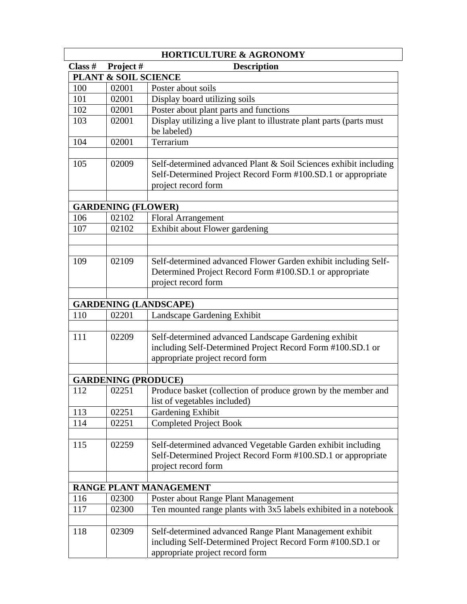|           |                           | <b>HORTICULTURE &amp; AGRONOMY</b>                                                                                                                       |
|-----------|---------------------------|----------------------------------------------------------------------------------------------------------------------------------------------------------|
| Class $#$ | Project#                  | <b>Description</b>                                                                                                                                       |
|           |                           | PLANT & SOIL SCIENCE                                                                                                                                     |
| 100       | 02001                     | Poster about soils                                                                                                                                       |
| 101       | 02001                     | Display board utilizing soils                                                                                                                            |
| 102       | 02001                     | Poster about plant parts and functions                                                                                                                   |
| 103       | 02001                     | Display utilizing a live plant to illustrate plant parts (parts must<br>be labeled)                                                                      |
| 104       | 02001                     | Terrarium                                                                                                                                                |
| 105       | 02009                     | Self-determined advanced Plant & Soil Sciences exhibit including<br>Self-Determined Project Record Form #100.SD.1 or appropriate<br>project record form  |
|           | <b>GARDENING (FLOWER)</b> |                                                                                                                                                          |
| 106       | 02102                     |                                                                                                                                                          |
| 107       | 02102                     | <b>Floral Arrangement</b><br>Exhibit about Flower gardening                                                                                              |
|           |                           |                                                                                                                                                          |
| 109       | 02109                     | Self-determined advanced Flower Garden exhibit including Self-<br>Determined Project Record Form #100.SD.1 or appropriate                                |
|           |                           | project record form                                                                                                                                      |
|           |                           | <b>GARDENING (LANDSCAPE)</b>                                                                                                                             |
| 110       | 02201                     | Landscape Gardening Exhibit                                                                                                                              |
|           |                           |                                                                                                                                                          |
| 111       | 02209                     | Self-determined advanced Landscape Gardening exhibit<br>including Self-Determined Project Record Form #100.SD.1 or<br>appropriate project record form    |
|           |                           |                                                                                                                                                          |
|           |                           | <b>GARDENING (PRODUCE)</b>                                                                                                                               |
| 112       | 02251                     | Produce basket (collection of produce grown by the member and<br>list of vegetables included)                                                            |
| 113       | 02251                     | Gardening Exhibit                                                                                                                                        |
| 114       | 02251                     | <b>Completed Project Book</b>                                                                                                                            |
| 115       | 02259                     | Self-determined advanced Vegetable Garden exhibit including<br>Self-Determined Project Record Form #100.SD.1 or appropriate<br>project record form       |
|           |                           |                                                                                                                                                          |
|           |                           | RANGE PLANT MANAGEMENT                                                                                                                                   |
| 116       | 02300                     | Poster about Range Plant Management                                                                                                                      |
| 117       | 02300                     | Ten mounted range plants with 3x5 labels exhibited in a notebook                                                                                         |
| 118       | 02309                     | Self-determined advanced Range Plant Management exhibit<br>including Self-Determined Project Record Form #100.SD.1 or<br>appropriate project record form |
|           |                           |                                                                                                                                                          |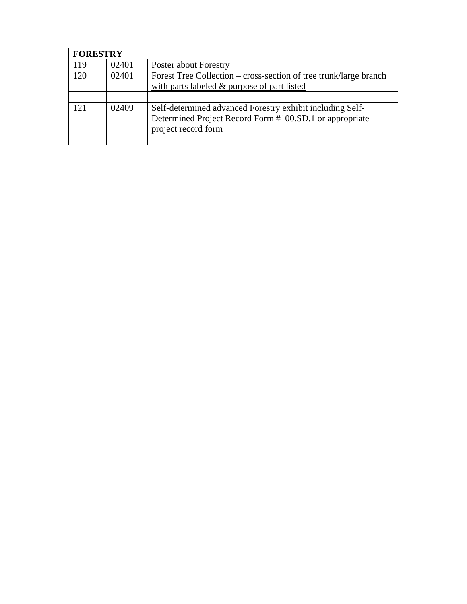|     | <b>FORESTRY</b> |                                                                   |  |
|-----|-----------------|-------------------------------------------------------------------|--|
| 119 | 02401           | Poster about Forestry                                             |  |
| 120 | 02401           | Forest Tree Collection – cross-section of tree trunk/large branch |  |
|     |                 | with parts labeled $&$ purpose of part listed                     |  |
|     |                 |                                                                   |  |
| 121 | 02409           | Self-determined advanced Forestry exhibit including Self-         |  |
|     |                 | Determined Project Record Form #100.SD.1 or appropriate           |  |
|     |                 | project record form                                               |  |
|     |                 |                                                                   |  |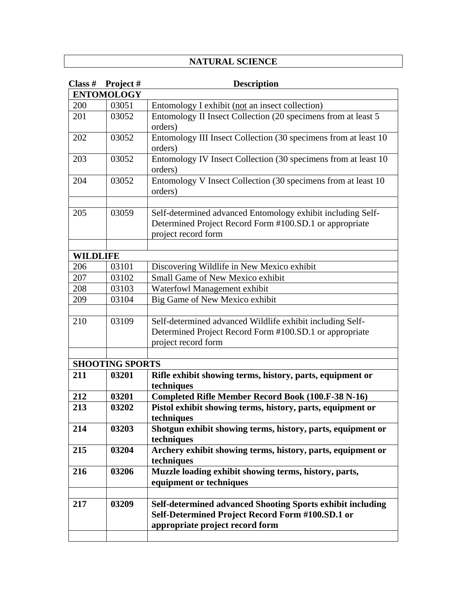### **NATURAL SCIENCE**

| Class #         | Project#               | <b>Description</b>                                                        |
|-----------------|------------------------|---------------------------------------------------------------------------|
|                 | <b>ENTOMOLOGY</b>      |                                                                           |
| 200             | 03051                  | Entomology I exhibit (not an insect collection)                           |
| 201             | 03052                  | Entomology II Insect Collection (20 specimens from at least 5             |
|                 |                        | orders)                                                                   |
| 202             | 03052                  | Entomology III Insect Collection (30 specimens from at least 10           |
|                 |                        | orders)                                                                   |
| 203             | 03052                  | Entomology IV Insect Collection (30 specimens from at least 10            |
|                 |                        | orders)                                                                   |
| 204             | 03052                  | Entomology V Insect Collection (30 specimens from at least 10             |
|                 |                        | orders)                                                                   |
|                 |                        |                                                                           |
| 205             | 03059                  | Self-determined advanced Entomology exhibit including Self-               |
|                 |                        | Determined Project Record Form #100.SD.1 or appropriate                   |
|                 |                        | project record form                                                       |
|                 |                        |                                                                           |
| <b>WILDLIFE</b> |                        |                                                                           |
| 206             | 03101                  | Discovering Wildlife in New Mexico exhibit                                |
| 207             | 03102                  | <b>Small Game of New Mexico exhibit</b>                                   |
| 208             | 03103                  | Waterfowl Management exhibit                                              |
| 209             | 03104                  | Big Game of New Mexico exhibit                                            |
|                 |                        |                                                                           |
| 210             | 03109                  | Self-determined advanced Wildlife exhibit including Self-                 |
|                 |                        | Determined Project Record Form #100.SD.1 or appropriate                   |
|                 |                        | project record form                                                       |
|                 |                        |                                                                           |
|                 | <b>SHOOTING SPORTS</b> |                                                                           |
| 211             | 03201                  | Rifle exhibit showing terms, history, parts, equipment or                 |
|                 |                        | techniques                                                                |
| 212             | 03201                  | <b>Completed Rifle Member Record Book (100.F-38 N-16)</b>                 |
| 213             | 03202                  | Pistol exhibit showing terms, history, parts, equipment or                |
|                 |                        | techniques                                                                |
| 214             | 03203                  | Shotgun exhibit showing terms, history, parts, equipment or               |
| 215             | 03204                  | techniques<br>Archery exhibit showing terms, history, parts, equipment or |
|                 |                        | techniques                                                                |
| 216             | 03206                  | Muzzle loading exhibit showing terms, history, parts,                     |
|                 |                        | equipment or techniques                                                   |
|                 |                        |                                                                           |
| 217             | 03209                  | Self-determined advanced Shooting Sports exhibit including                |
|                 |                        | Self-Determined Project Record Form #100.SD.1 or                          |
|                 |                        | appropriate project record form                                           |
|                 |                        |                                                                           |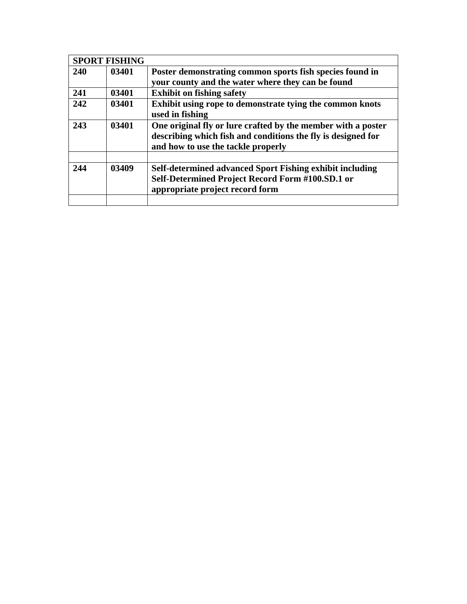|      | <b>SPORT FISHING</b> |                                                                                                                                                                    |
|------|----------------------|--------------------------------------------------------------------------------------------------------------------------------------------------------------------|
| 240  | 03401                | Poster demonstrating common sports fish species found in                                                                                                           |
|      |                      | your county and the water where they can be found                                                                                                                  |
| 241  | 03401                | <b>Exhibit on fishing safety</b>                                                                                                                                   |
| 242  | 03401                | Exhibit using rope to demonstrate tying the common knots<br>used in fishing                                                                                        |
| 243  | 03401                | One original fly or lure crafted by the member with a poster<br>describing which fish and conditions the fly is designed for<br>and how to use the tackle properly |
|      |                      |                                                                                                                                                                    |
| 2.44 | 03409                | <b>Self-determined advanced Sport Fishing exhibit including</b><br>Self-Determined Project Record Form #100.SD.1 or<br>appropriate project record form             |
|      |                      |                                                                                                                                                                    |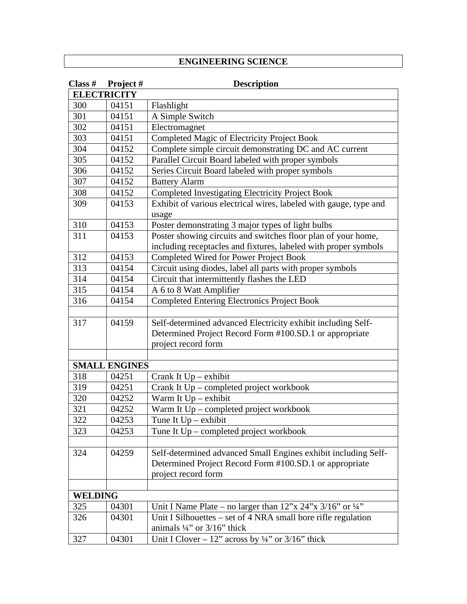### **ENGINEERING SCIENCE**

| Class $#$      | Project#             | <b>Description</b>                                                             |
|----------------|----------------------|--------------------------------------------------------------------------------|
|                | <b>ELECTRICITY</b>   |                                                                                |
| 300            | 04151                | Flashlight                                                                     |
| 301            | 04151                | A Simple Switch                                                                |
| 302            | 04151                | Electromagnet                                                                  |
| 303            | 04151                | Completed Magic of Electricity Project Book                                    |
| 304            | 04152                | Complete simple circuit demonstrating DC and AC current                        |
| 305            | 04152                | Parallel Circuit Board labeled with proper symbols                             |
| 306            | 04152                | Series Circuit Board labeled with proper symbols                               |
| 307            | 04152                | <b>Battery Alarm</b>                                                           |
| 308            | 04152                | <b>Completed Investigating Electricity Project Book</b>                        |
| 309            | 04153                | Exhibit of various electrical wires, labeled with gauge, type and              |
|                |                      | usage                                                                          |
| 310            | 04153                | Poster demonstrating 3 major types of light bulbs                              |
| 311            | 04153                | Poster showing circuits and switches floor plan of your home,                  |
|                |                      | including receptacles and fixtures, labeled with proper symbols                |
| 312            | 04153                | Completed Wired for Power Project Book                                         |
| 313            | 04154                | Circuit using diodes, label all parts with proper symbols                      |
| 314            | 04154                | Circuit that intermittently flashes the LED                                    |
| 315            | 04154                | A 6 to 8 Watt Amplifier                                                        |
| 316            | 04154                | <b>Completed Entering Electronics Project Book</b>                             |
|                |                      |                                                                                |
| 317            | 04159                | Self-determined advanced Electricity exhibit including Self-                   |
|                |                      | Determined Project Record Form #100.SD.1 or appropriate                        |
|                |                      | project record form                                                            |
|                |                      |                                                                                |
|                | <b>SMALL ENGINES</b> |                                                                                |
| 318            | 04251                | Crank It $Up - exhibit$                                                        |
| 319            | 04251                | Crank It Up – completed project workbook                                       |
| 320            | 04252                | Warm It $Up -$ exhibit                                                         |
| 321            | 04252                | Warm It Up – completed project workbook                                        |
| 322            | 04253                | Tune It $Up - exhibit$                                                         |
| 323            | 04253                | Tune It $Up$ – completed project workbook                                      |
|                |                      |                                                                                |
| 324            | 04259                | Self-determined advanced Small Engines exhibit including Self-                 |
|                |                      | Determined Project Record Form #100.SD.1 or appropriate                        |
|                |                      | project record form                                                            |
|                |                      |                                                                                |
| <b>WELDING</b> |                      |                                                                                |
| 325            | 04301                | Unit I Name Plate – no larger than $12$ "x $24$ "x $3/16$ " or $\frac{1}{4}$ " |
| 326            | 04301                | Unit I Silhouettes - set of 4 NRA small bore rifle regulation                  |
|                |                      | animals $\frac{1}{4}$ " or $\frac{3}{16}$ " thick                              |
| 327            | 04301                | Unit I Clover – 12" across by $\frac{1}{4}$ " or 3/16" thick                   |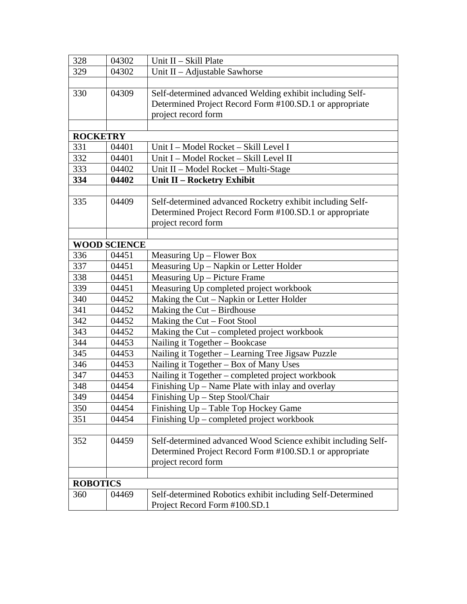| 328             | 04302               | Unit II - Skill Plate                                         |
|-----------------|---------------------|---------------------------------------------------------------|
| 329             | 04302               | Unit II - Adjustable Sawhorse                                 |
|                 |                     |                                                               |
| 330             | 04309               | Self-determined advanced Welding exhibit including Self-      |
|                 |                     | Determined Project Record Form #100.SD.1 or appropriate       |
|                 |                     | project record form                                           |
|                 |                     |                                                               |
| <b>ROCKETRY</b> |                     |                                                               |
| 331             | 04401               | Unit I - Model Rocket - Skill Level I                         |
| 332             | 04401               | Unit I - Model Rocket - Skill Level II                        |
| 333             | 04402               | Unit II - Model Rocket - Multi-Stage                          |
| 334             | 04402               | Unit II - Rocketry Exhibit                                    |
|                 |                     |                                                               |
| 335             | 04409               | Self-determined advanced Rocketry exhibit including Self-     |
|                 |                     | Determined Project Record Form #100.SD.1 or appropriate       |
|                 |                     | project record form                                           |
|                 |                     |                                                               |
|                 | <b>WOOD SCIENCE</b> |                                                               |
| 336             | 04451               | Measuring Up - Flower Box                                     |
| 337             | 04451               | Measuring Up - Napkin or Letter Holder                        |
| 338             | 04451               | Measuring Up - Picture Frame                                  |
| 339             | 04451               | Measuring Up completed project workbook                       |
| 340             | 04452               | Making the Cut - Napkin or Letter Holder                      |
| 341             | 04452               | Making the Cut - Birdhouse                                    |
| 342             | 04452               | Making the $Cut$ – Foot Stool                                 |
| 343             | 04452               | Making the Cut – completed project workbook                   |
| 344             | 04453               | Nailing it Together - Bookcase                                |
| 345             | 04453               | Nailing it Together – Learning Tree Jigsaw Puzzle             |
| 346             | 04453               | Nailing it Together - Box of Many Uses                        |
| 347             | 04453               | Nailing it Together – completed project workbook              |
| 348             | 04454               | Finishing Up – Name Plate with inlay and overlay              |
| 349             | 04454               | Finishing Up - Step Stool/Chair                               |
| 350             | 04454               | Finishing Up - Table Top Hockey Game                          |
| 351             | 04454               | Finishing Up - completed project workbook                     |
|                 |                     |                                                               |
| 352             | 04459               | Self-determined advanced Wood Science exhibit including Self- |
|                 |                     | Determined Project Record Form #100.SD.1 or appropriate       |
|                 |                     | project record form                                           |
|                 |                     |                                                               |
| <b>ROBOTICS</b> |                     |                                                               |
| 360             | 04469               | Self-determined Robotics exhibit including Self-Determined    |
|                 |                     | Project Record Form #100.SD.1                                 |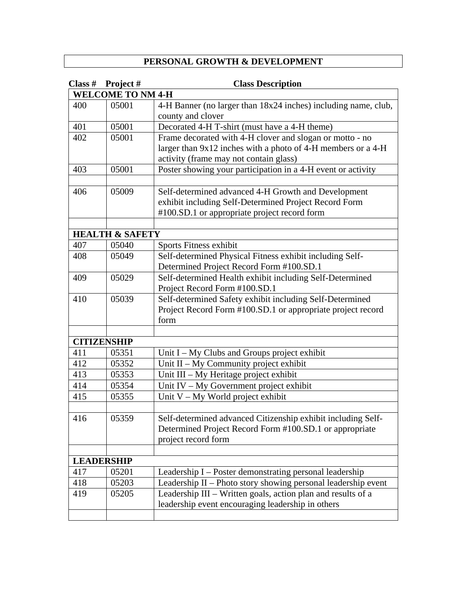### **PERSONAL GROWTH & DEVELOPMENT**

| Class # | Project#                   | <b>Class Description</b>                                       |
|---------|----------------------------|----------------------------------------------------------------|
|         | <b>WELCOME TO NM 4-H</b>   |                                                                |
| 400     | 05001                      | 4-H Banner (no larger than 18x24 inches) including name, club, |
|         |                            | county and clover                                              |
| 401     | 05001                      | Decorated 4-H T-shirt (must have a 4-H theme)                  |
| 402     | 05001                      | Frame decorated with 4-H clover and slogan or motto - no       |
|         |                            | larger than 9x12 inches with a photo of 4-H members or a 4-H   |
|         |                            | activity (frame may not contain glass)                         |
| 403     | 05001                      | Poster showing your participation in a 4-H event or activity   |
|         |                            |                                                                |
| 406     | 05009                      | Self-determined advanced 4-H Growth and Development            |
|         |                            | exhibit including Self-Determined Project Record Form          |
|         |                            | #100.SD.1 or appropriate project record form                   |
|         |                            |                                                                |
|         | <b>HEALTH &amp; SAFETY</b> |                                                                |
| 407     | 05040                      | Sports Fitness exhibit                                         |
| 408     | 05049                      | Self-determined Physical Fitness exhibit including Self-       |
|         |                            | Determined Project Record Form #100.SD.1                       |
| 409     | 05029                      | Self-determined Health exhibit including Self-Determined       |
|         |                            | Project Record Form #100.SD.1                                  |
| 410     | 05039                      | Self-determined Safety exhibit including Self-Determined       |
|         |                            | Project Record Form #100.SD.1 or appropriate project record    |
|         |                            | form                                                           |
|         |                            |                                                                |
|         | <b>CITIZENSHIP</b>         |                                                                |
| 411     | 05351                      | Unit I - My Clubs and Groups project exhibit                   |
| 412     | 05352                      | Unit II - My Community project exhibit                         |
| 413     | 05353                      | Unit III - My Heritage project exhibit                         |
| 414     | 05354                      | Unit IV - My Government project exhibit                        |
| 415     | 05355                      | Unit V - My World project exhibit                              |
|         |                            |                                                                |
| 416     | 05359                      | Self-determined advanced Citizenship exhibit including Self-   |
|         |                            | Determined Project Record Form #100.SD.1 or appropriate        |
|         |                            | project record form                                            |
|         |                            |                                                                |
|         | <b>LEADERSHIP</b>          |                                                                |
| 417     | 05201                      | Leadership I – Poster demonstrating personal leadership        |
| 418     | 05203                      | Leadership II - Photo story showing personal leadership event  |
| 419     | 05205                      | Leadership III – Written goals, action plan and results of a   |
|         |                            | leadership event encouraging leadership in others              |
|         |                            |                                                                |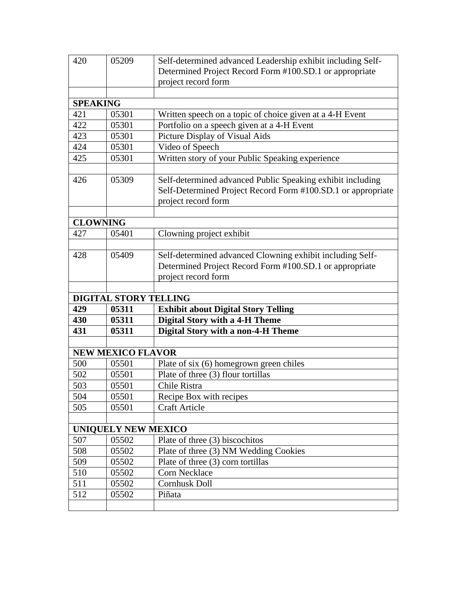| 420             | 05209                      | Self-determined advanced Leadership exhibit including Self-                                                                                       |
|-----------------|----------------------------|---------------------------------------------------------------------------------------------------------------------------------------------------|
|                 |                            | Determined Project Record Form #100.SD.1 or appropriate                                                                                           |
|                 |                            | project record form                                                                                                                               |
|                 |                            |                                                                                                                                                   |
| <b>SPEAKING</b> |                            |                                                                                                                                                   |
| 421             | 05301                      | Written speech on a topic of choice given at a 4-H Event                                                                                          |
| 422             | 05301                      | Portfolio on a speech given at a 4-H Event                                                                                                        |
| 423             | 05301                      | Picture Display of Visual Aids                                                                                                                    |
| 424             | 05301                      | Video of Speech                                                                                                                                   |
| 425             | 05301                      | Written story of your Public Speaking experience                                                                                                  |
|                 |                            |                                                                                                                                                   |
| 426             | 05309                      | Self-determined advanced Public Speaking exhibit including<br>Self-Determined Project Record Form #100.SD.1 or appropriate<br>project record form |
|                 |                            |                                                                                                                                                   |
| <b>CLOWNING</b> |                            |                                                                                                                                                   |
| 427             | 05401                      | Clowning project exhibit                                                                                                                          |
|                 |                            |                                                                                                                                                   |
| 428             | 05409                      | Self-determined advanced Clowning exhibit including Self-                                                                                         |
|                 |                            | Determined Project Record Form #100.SD.1 or appropriate                                                                                           |
|                 |                            | project record form                                                                                                                               |
|                 |                            |                                                                                                                                                   |
|                 |                            | <b>DIGITAL STORY TELLING</b>                                                                                                                      |
| 429             | 05311                      | <b>Exhibit about Digital Story Telling</b>                                                                                                        |
| 430             | 05311                      | <b>Digital Story with a 4-H Theme</b>                                                                                                             |
| 431             | 05311                      | <b>Digital Story with a non-4-H Theme</b>                                                                                                         |
|                 |                            |                                                                                                                                                   |
|                 | <b>NEW MEXICO FLAVOR</b>   |                                                                                                                                                   |
| 500             | 05501                      | Plate of six (6) homegrown green chiles                                                                                                           |
| 502             | 05501                      | Plate of three (3) flour tortillas                                                                                                                |
| 503             | 05501                      | Chile Ristra                                                                                                                                      |
| 504             | 05501                      | Recipe Box with recipes                                                                                                                           |
| 505             | 05501                      | <b>Craft Article</b>                                                                                                                              |
|                 |                            |                                                                                                                                                   |
|                 | <b>UNIQUELY NEW MEXICO</b> |                                                                                                                                                   |
| 507             | 05502                      | Plate of three (3) biscochitos                                                                                                                    |
| 508             | 05502                      | Plate of three (3) NM Wedding Cookies                                                                                                             |
| 509             | 05502                      | Plate of three (3) corn tortillas                                                                                                                 |
| 510             | 05502                      | Corn Necklace                                                                                                                                     |
| 511             |                            | <b>Cornhusk Doll</b>                                                                                                                              |
|                 | 05502                      |                                                                                                                                                   |
| 512             | 05502                      | Piñata                                                                                                                                            |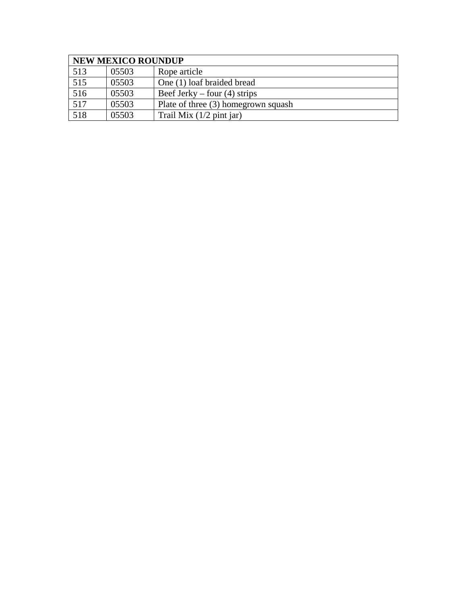|                  | <b>NEW MEXICO ROUNDUP</b> |                                     |  |
|------------------|---------------------------|-------------------------------------|--|
| 513              | 05503                     | Rope article                        |  |
| $\overline{515}$ | 05503                     | One (1) loaf braided bread          |  |
| 516              | 05503                     | Beef Jerky – four $(4)$ strips      |  |
| 517              | 05503                     | Plate of three (3) homegrown squash |  |
| 518              | 05503                     | Trail Mix $(1/2$ pint jar)          |  |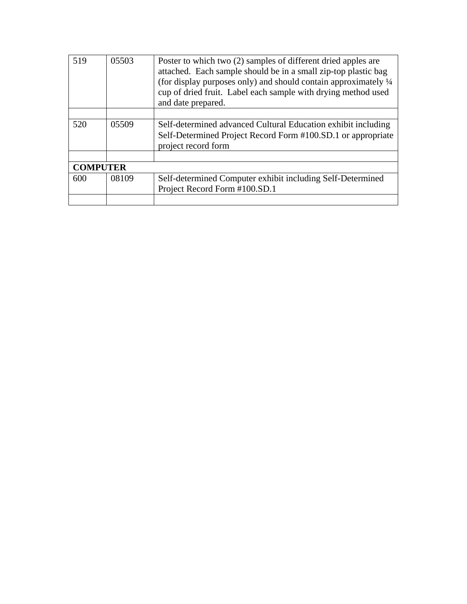| 519             | 05503 | Poster to which two (2) samples of different dried apples are<br>attached. Each sample should be in a small zip-top plastic bag<br>(for display purposes only) and should contain approximately 1/4<br>cup of dried fruit. Label each sample with drying method used<br>and date prepared. |
|-----------------|-------|--------------------------------------------------------------------------------------------------------------------------------------------------------------------------------------------------------------------------------------------------------------------------------------------|
|                 |       |                                                                                                                                                                                                                                                                                            |
| 520             | 05509 | Self-determined advanced Cultural Education exhibit including<br>Self-Determined Project Record Form #100.SD.1 or appropriate<br>project record form                                                                                                                                       |
|                 |       |                                                                                                                                                                                                                                                                                            |
| <b>COMPUTER</b> |       |                                                                                                                                                                                                                                                                                            |
| 600             | 08109 | Self-determined Computer exhibit including Self-Determined<br>Project Record Form #100.SD.1                                                                                                                                                                                                |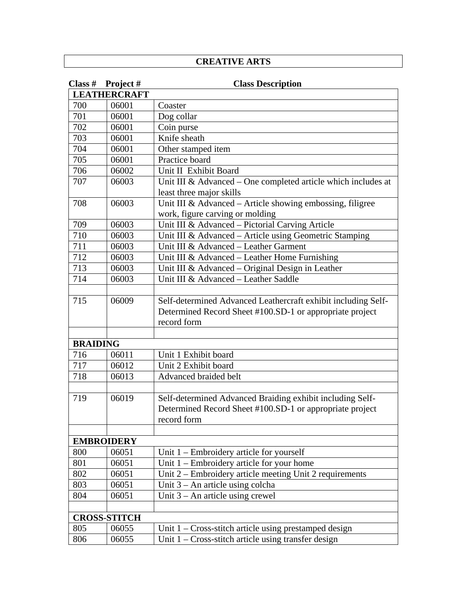### **CREATIVE ARTS**

| Class $#$       | Project#            | <b>Class Description</b>                                      |
|-----------------|---------------------|---------------------------------------------------------------|
|                 | <b>LEATHERCRAFT</b> |                                                               |
| 700             | 06001               | Coaster                                                       |
| 701             | 06001               | Dog collar                                                    |
| 702             | 06001               | Coin purse                                                    |
| 703             | 06001               | Knife sheath                                                  |
| 704             | 06001               | Other stamped item                                            |
| 705             | 06001               | Practice board                                                |
| 706             | 06002               | Unit II Exhibit Board                                         |
| 707             | 06003               | Unit III & Advanced – One completed article which includes at |
|                 |                     | least three major skills                                      |
| 708             | 06003               | Unit III & Advanced - Article showing embossing, filigree     |
|                 |                     | work, figure carving or molding                               |
| 709             | 06003               | Unit III & Advanced - Pictorial Carving Article               |
| 710             | 06003               | Unit III & Advanced - Article using Geometric Stamping        |
| 711             | 06003               | Unit III & Advanced - Leather Garment                         |
| 712             | 06003               | Unit III & Advanced – Leather Home Furnishing                 |
| 713             | 06003               | Unit III & Advanced – Original Design in Leather              |
| 714             | 06003               | Unit III & Advanced - Leather Saddle                          |
|                 |                     |                                                               |
| 715             | 06009               | Self-determined Advanced Leathercraft exhibit including Self- |
|                 |                     | Determined Record Sheet #100.SD-1 or appropriate project      |
|                 |                     | record form                                                   |
|                 |                     |                                                               |
| <b>BRAIDING</b> |                     |                                                               |
| 716             | 06011               | Unit 1 Exhibit board                                          |
| 717             | 06012               | Unit 2 Exhibit board                                          |
| 718             | 06013               | Advanced braided belt                                         |
|                 |                     |                                                               |
| 719             | 06019               | Self-determined Advanced Braiding exhibit including Self-     |
|                 |                     | Determined Record Sheet #100.SD-1 or appropriate project      |
|                 |                     | record form                                                   |
|                 |                     |                                                               |
|                 | <b>EMBROIDERY</b>   |                                                               |
| 800             | 06051               | Unit $1$ – Embroidery article for yourself                    |
| 801             | 06051               | Unit $1$ – Embroidery article for your home                   |
| 802             | 06051               | Unit 2 – Embroidery article meeting Unit 2 requirements       |
| 803             | 06051               | Unit $3 - An$ article using colcha                            |
| 804             | 06051               | Unit $3 - An$ article using crewel                            |
|                 |                     |                                                               |
|                 | <b>CROSS-STITCH</b> |                                                               |
| 805             | 06055               | Unit $1 - Cross-stitch$ article using prestamped design       |
| 806             | 06055               | Unit $1 - Cross$ -stitch article using transfer design        |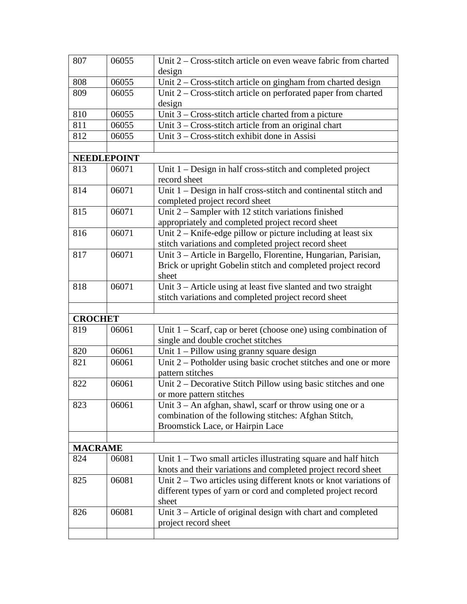| 807            | 06055              | Unit 2 – Cross-stitch article on even weave fabric from charted     |
|----------------|--------------------|---------------------------------------------------------------------|
|                |                    | design                                                              |
| 808            | 06055              | Unit 2 - Cross-stitch article on gingham from charted design        |
| 809            | 06055              | Unit 2 – Cross-stitch article on perforated paper from charted      |
|                |                    | design                                                              |
| 810            | 06055              | Unit $3 - Cross-stitch$ article charted from a picture              |
| 811            | 06055              | Unit $3$ – Cross-stitch article from an original chart              |
| 812            | 06055              | Unit 3 – Cross-stitch exhibit done in Assisi                        |
|                |                    |                                                                     |
|                | <b>NEEDLEPOINT</b> |                                                                     |
| 813            | 06071              | Unit 1 – Design in half cross-stitch and completed project          |
|                |                    | record sheet                                                        |
| 814            | 06071              | Unit 1 - Design in half cross-stitch and continental stitch and     |
|                |                    | completed project record sheet                                      |
| 815            | 06071              | Unit 2 - Sampler with 12 stitch variations finished                 |
|                |                    | appropriately and completed project record sheet                    |
| 816            | 06071              | Unit $2 -$ Knife-edge pillow or picture including at least six      |
|                |                    | stitch variations and completed project record sheet                |
| 817            | 06071              | Unit 3 - Article in Bargello, Florentine, Hungarian, Parisian,      |
|                |                    | Brick or upright Gobelin stitch and completed project record        |
|                |                    | sheet                                                               |
| 818            | 06071              | Unit 3 – Article using at least five slanted and two straight       |
|                |                    | stitch variations and completed project record sheet                |
|                |                    |                                                                     |
| <b>CROCHET</b> |                    |                                                                     |
| 819            | 06061              | Unit $1 -$ Scarf, cap or beret (choose one) using combination of    |
|                |                    | single and double crochet stitches                                  |
| 820            | 06061              | Unit $1$ – Pillow using granny square design                        |
| 821            | 06061              | Unit 2 – Potholder using basic crochet stitches and one or more     |
|                |                    | pattern stitches                                                    |
| 822            | 06061              | Unit 2 – Decorative Stitch Pillow using basic stitches and one      |
|                |                    | or more pattern stitches                                            |
| 823            | 06061              | Unit $3 - An$ afghan, shawl, scarf or throw using one or a          |
|                |                    | combination of the following stitches: Afghan Stitch,               |
|                |                    | Broomstick Lace, or Hairpin Lace                                    |
|                |                    |                                                                     |
| <b>MACRAME</b> |                    |                                                                     |
| 824            | 06081              | Unit $1 - Two small articles illustrating square and half hitch$    |
|                |                    | knots and their variations and completed project record sheet       |
| 825            | 06081              | Unit $2 - Two$ articles using different knots or knot variations of |
|                |                    | different types of yarn or cord and completed project record        |
|                |                    | sheet                                                               |
| 826            | 06081              | Unit 3 – Article of original design with chart and completed        |
|                |                    | project record sheet                                                |
|                |                    |                                                                     |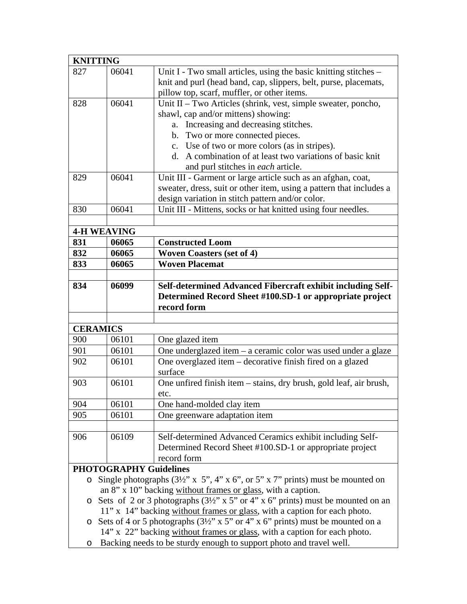| <b>KNITTING</b>    |                               |                                                                                                                                                                        |
|--------------------|-------------------------------|------------------------------------------------------------------------------------------------------------------------------------------------------------------------|
| 827                | 06041                         | Unit I - Two small articles, using the basic knitting stitches –                                                                                                       |
|                    |                               | knit and purl (head band, cap, slippers, belt, purse, placemats,                                                                                                       |
|                    |                               | pillow top, scarf, muffler, or other items.                                                                                                                            |
| 828                | 06041                         | Unit II – Two Articles (shrink, vest, simple sweater, poncho,                                                                                                          |
|                    |                               | shawl, cap and/or mittens) showing:                                                                                                                                    |
|                    |                               | Increasing and decreasing stitches.<br>a.                                                                                                                              |
|                    |                               | b. Two or more connected pieces.                                                                                                                                       |
|                    |                               | c. Use of two or more colors (as in stripes).                                                                                                                          |
|                    |                               | d. A combination of at least two variations of basic knit                                                                                                              |
|                    |                               | and purl stitches in each article.                                                                                                                                     |
| 829                | 06041                         | Unit III - Garment or large article such as an afghan, coat,                                                                                                           |
|                    |                               | sweater, dress, suit or other item, using a pattern that includes a                                                                                                    |
|                    |                               | design variation in stitch pattern and/or color.                                                                                                                       |
| 830                | 06041                         | Unit III - Mittens, socks or hat knitted using four needles.                                                                                                           |
|                    |                               |                                                                                                                                                                        |
| <b>4-H WEAVING</b> |                               |                                                                                                                                                                        |
| 831                | 06065                         | <b>Constructed Loom</b>                                                                                                                                                |
| 832                | 06065                         | <b>Woven Coasters (set of 4)</b>                                                                                                                                       |
| 833                | 06065                         | <b>Woven Placemat</b>                                                                                                                                                  |
|                    |                               |                                                                                                                                                                        |
| 834                | 06099                         | Self-determined Advanced Fibercraft exhibit including Self-                                                                                                            |
|                    |                               | Determined Record Sheet #100.SD-1 or appropriate project                                                                                                               |
|                    |                               | record form                                                                                                                                                            |
|                    |                               |                                                                                                                                                                        |
| <b>CERAMICS</b>    |                               |                                                                                                                                                                        |
| 900                | 06101                         | One glazed item                                                                                                                                                        |
| 901                | 06101                         | One underglazed item - a ceramic color was used under a glaze                                                                                                          |
| 902                | 06101                         | One overglazed item - decorative finish fired on a glazed                                                                                                              |
|                    |                               | surface                                                                                                                                                                |
| 903                |                               |                                                                                                                                                                        |
|                    | 06101                         | One unfired finish item – stains, dry brush, gold leaf, air brush,                                                                                                     |
|                    |                               | etc.                                                                                                                                                                   |
| 904                | 06101                         | One hand-molded clay item                                                                                                                                              |
| 905                | 06101                         | One greenware adaptation item                                                                                                                                          |
|                    |                               |                                                                                                                                                                        |
| 906                | 06109                         | Self-determined Advanced Ceramics exhibit including Self-                                                                                                              |
|                    |                               | Determined Record Sheet #100.SD-1 or appropriate project                                                                                                               |
|                    |                               | record form                                                                                                                                                            |
|                    | <b>PHOTOGRAPHY Guidelines</b> |                                                                                                                                                                        |
| $\circ$            |                               | Single photographs $(3\frac{1}{2}x \times 5, 4x \times 6, 6x \times 5, 2x \times 7)$ prints) must be mounted on                                                        |
|                    |                               | an 8" x 10" backing without frames or glass, with a caption.                                                                                                           |
|                    |                               | $\circ$ Sets of 2 or 3 photographs (3½" x 5" or 4" x 6" prints) must be mounted on an                                                                                  |
|                    |                               |                                                                                                                                                                        |
| O                  |                               | 11" x 14" backing without frames or glass, with a caption for each photo.<br>Sets of 4 or 5 photographs $(3\frac{1}{2}$ " x 5" or 4" x 6" prints) must be mounted on a |
|                    |                               | 14" x 22" backing without frames or glass, with a caption for each photo.                                                                                              |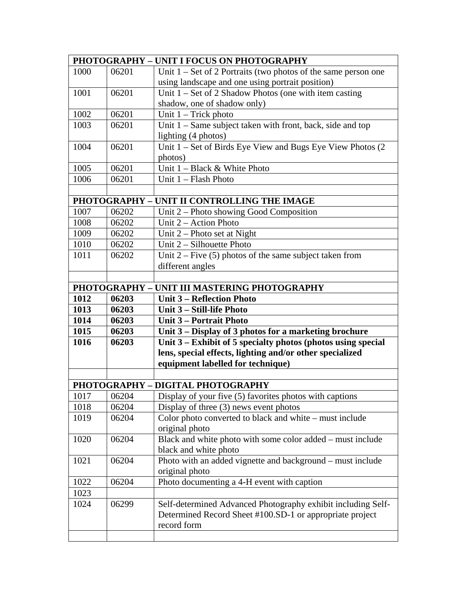|      |       | PHOTOGRAPHY - UNIT I FOCUS ON PHOTOGRAPHY                               |
|------|-------|-------------------------------------------------------------------------|
| 1000 | 06201 | Unit $1 - Set$ of 2 Portraits (two photos of the same person one        |
|      |       | using landscape and one using portrait position)                        |
| 1001 | 06201 | Unit $1 - Set$ of 2 Shadow Photos (one with item casting                |
|      |       | shadow, one of shadow only)                                             |
| 1002 | 06201 | Unit $1 -$ Trick photo                                                  |
| 1003 | 06201 | Unit $1 -$ Same subject taken with front, back, side and top            |
|      |       | lighting (4 photos)                                                     |
| 1004 | 06201 | Unit 1 – Set of Birds Eye View and Bugs Eye View Photos (2              |
|      |       | photos)                                                                 |
| 1005 | 06201 | Unit $1 - Black & White Photo$                                          |
| 1006 | 06201 | Unit 1 - Flash Photo                                                    |
|      |       |                                                                         |
|      |       | PHOTOGRAPHY - UNIT II CONTROLLING THE IMAGE                             |
| 1007 | 06202 | Unit $2$ – Photo showing Good Composition                               |
| 1008 | 06202 | Unit 2 – Action Photo                                                   |
| 1009 | 06202 | Unit $2$ – Photo set at Night                                           |
| 1010 | 06202 | Unit $2 - Silhouette Photo$                                             |
| 1011 | 06202 | Unit $2$ – Five (5) photos of the same subject taken from               |
|      |       | different angles                                                        |
|      |       |                                                                         |
|      |       | PHOTOGRAPHY - UNIT III MASTERING PHOTOGRAPHY                            |
| 1012 | 06203 | <b>Unit 3 - Reflection Photo</b>                                        |
| 1013 | 06203 | Unit 3 - Still-life Photo                                               |
| 1014 | 06203 | Unit 3 – Portrait Photo                                                 |
| 1015 | 06203 | Unit 3 – Display of 3 photos for a marketing brochure                   |
| 1016 | 06203 | Unit 3 – Exhibit of 5 specialty photos (photos using special            |
|      |       | lens, special effects, lighting and/or other specialized                |
|      |       | equipment labelled for technique)                                       |
|      |       |                                                                         |
|      |       | PHOTOGRAPHY - DIGITAL PHOTOGRAPHY                                       |
| 1017 | 06204 | Display of your five (5) favorites photos with captions                 |
| 1018 | 06204 | Display of three $(3)$ news event photos                                |
| 1019 | 06204 | Color photo converted to black and white - must include                 |
|      |       | original photo                                                          |
| 1020 | 06204 | Black and white photo with some color added – must include              |
|      |       | black and white photo                                                   |
| 1021 | 06204 | Photo with an added vignette and background – must include              |
|      |       | original photo                                                          |
| 1022 | 06204 | Photo documenting a 4-H event with caption                              |
| 1023 |       |                                                                         |
| 1024 | 06299 | Self-determined Advanced Photography exhibit including Self-            |
|      |       | Determined Record Sheet #100.SD-1 or appropriate project<br>record form |
|      |       |                                                                         |
|      |       |                                                                         |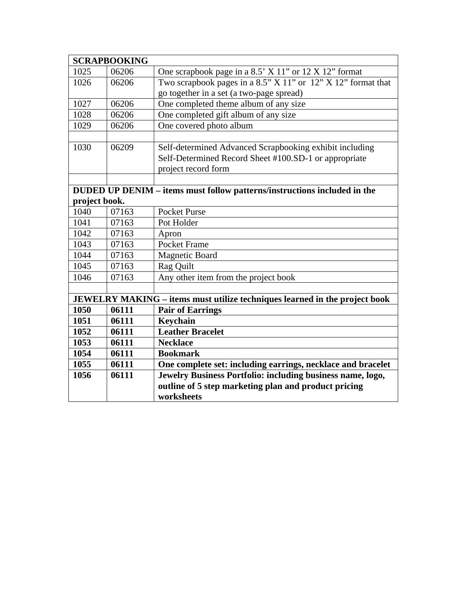|               | <b>SCRAPBOOKING</b> |                                                                                   |
|---------------|---------------------|-----------------------------------------------------------------------------------|
| 1025          | 06206               | One scrapbook page in a 8.5' X 11" or 12 X 12" format                             |
| 1026          | 06206               | Two scrapbook pages in a 8.5" X 11" or 12" X 12" format that                      |
|               |                     | go together in a set (a two-page spread)                                          |
| 1027          | 06206               | One completed theme album of any size                                             |
| 1028          | 06206               | One completed gift album of any size                                              |
| 1029          | 06206               | One covered photo album                                                           |
|               |                     |                                                                                   |
| 1030          | 06209               | Self-determined Advanced Scrapbooking exhibit including                           |
|               |                     | Self-Determined Record Sheet #100.SD-1 or appropriate                             |
|               |                     | project record form                                                               |
|               |                     |                                                                                   |
|               |                     | DUDED UP DENIM – items must follow patterns/instructions included in the          |
| project book. |                     |                                                                                   |
| 1040          | 07163               | <b>Pocket Purse</b>                                                               |
| 1041          | 07163               | Pot Holder                                                                        |
| 1042          | 07163               | Apron                                                                             |
| 1043          | 07163               | <b>Pocket Frame</b>                                                               |
| 1044          | 07163               | <b>Magnetic Board</b>                                                             |
| 1045          | 07163               | Rag Quilt                                                                         |
| 1046          | 07163               | Any other item from the project book                                              |
|               |                     |                                                                                   |
|               |                     | <b>JEWELRY MAKING – items must utilize techniques learned in the project book</b> |
| 1050          | 06111               | <b>Pair of Earrings</b>                                                           |
| 1051          | 06111               | Keychain                                                                          |
| 1052          | 06111               | <b>Leather Bracelet</b>                                                           |
| 1053          | 06111               | <b>Necklace</b>                                                                   |
| 1054          | 06111               | <b>Bookmark</b>                                                                   |
| 1055          | 06111               | One complete set: including earrings, necklace and bracelet                       |
| 1056          | 06111               | Jewelry Business Portfolio: including business name, logo,                        |
|               |                     | outline of 5 step marketing plan and product pricing                              |
|               |                     | worksheets                                                                        |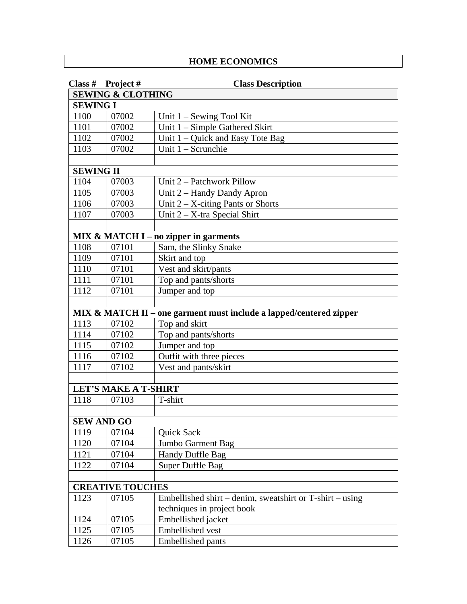### **HOME ECONOMICS**

|                  | Class # Project #            | <b>Class Description</b>                                           |
|------------------|------------------------------|--------------------------------------------------------------------|
|                  | <b>SEWING &amp; CLOTHING</b> |                                                                    |
| <b>SEWING I</b>  |                              |                                                                    |
| 1100             | 07002                        | Unit $1 -$ Sewing Tool Kit                                         |
| 1101             | 07002                        | Unit 1 – Simple Gathered Skirt                                     |
| 1102             | 07002                        | Unit $1 -$ Quick and Easy Tote Bag                                 |
| 1103             | 07002                        | Unit 1 - Scrunchie                                                 |
|                  |                              |                                                                    |
| <b>SEWING II</b> |                              |                                                                    |
| 1104             | 07003                        | Unit 2 – Patchwork Pillow                                          |
| 1105             | 07003                        | Unit 2 – Handy Dandy Apron                                         |
| 1106             | 07003                        | Unit $2 - X$ -citing Pants or Shorts                               |
| 1107             | 07003                        | Unit $2 - X$ -tra Special Shirt                                    |
|                  |                              |                                                                    |
|                  |                              | MIX & MATCH I - no zipper in garments                              |
| 1108             | 07101                        | Sam, the Slinky Snake                                              |
| 1109             | 07101                        | Skirt and top                                                      |
| 1110             | 07101                        | Vest and skirt/pants                                               |
| 1111             | 07101                        | Top and pants/shorts                                               |
| 1112             | 07101                        | Jumper and top                                                     |
|                  |                              |                                                                    |
|                  |                              | MIX & MATCH II – one garment must include a lapped/centered zipper |
| 1113             | 07102                        | Top and skirt                                                      |
| 1114             | 07102                        | Top and pants/shorts                                               |
| 1115             | 07102                        | Jumper and top                                                     |
| 1116             | 07102                        | Outfit with three pieces                                           |
| 1117             | 07102                        | Vest and pants/skirt                                               |
|                  |                              |                                                                    |
|                  | <b>LET'S MAKE A T-SHIRT</b>  |                                                                    |
| 1118             | 07103                        | T-shirt                                                            |
|                  |                              |                                                                    |
|                  | <b>SEW AND GO</b>            |                                                                    |
| 1119             | 07104                        | Quick Sack                                                         |
| 1120             | 07104                        | Jumbo Garment Bag                                                  |
| 1121             | 07104                        | Handy Duffle Bag                                                   |
| 1122             | 07104                        | Super Duffle Bag                                                   |
|                  |                              |                                                                    |
|                  | <b>CREATIVE TOUCHES</b>      |                                                                    |
| 1123             | 07105                        | Embellished shirt – denim, sweatshirt or T-shirt – using           |
|                  |                              | techniques in project book                                         |
| 1124             | 07105                        | Embellished jacket                                                 |
| 1125             | 07105                        | Embellished vest                                                   |
| 1126             | 07105                        | <b>Embellished pants</b>                                           |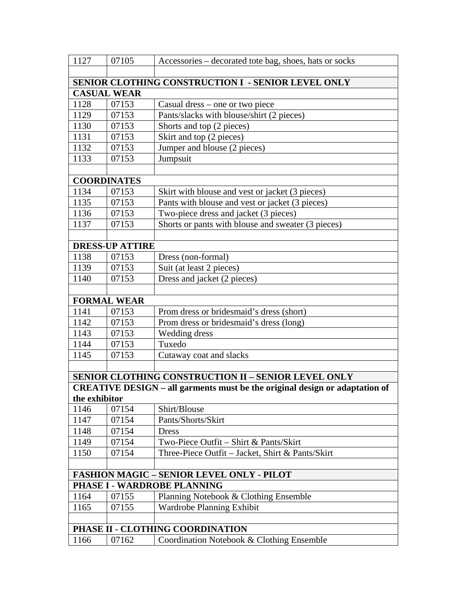| 1127          | 07105                       | Accessories – decorated tote bag, shoes, hats or socks                             |
|---------------|-----------------------------|------------------------------------------------------------------------------------|
|               |                             |                                                                                    |
|               |                             | SENIOR CLOTHING CONSTRUCTION I - SENIOR LEVEL ONLY                                 |
|               | <b>CASUAL WEAR</b>          |                                                                                    |
| 1128          | 07153                       | Casual dress – one or two piece                                                    |
| 1129          | 07153                       | Pants/slacks with blouse/shirt (2 pieces)                                          |
| 1130          | 07153                       | Shorts and top (2 pieces)                                                          |
| 1131          | 07153                       | Skirt and top (2 pieces)                                                           |
| 1132          | 07153                       | Jumper and blouse (2 pieces)                                                       |
| 1133          | 07153                       | Jumpsuit                                                                           |
|               |                             |                                                                                    |
|               | <b>COORDINATES</b>          |                                                                                    |
| 1134          | 07153                       | Skirt with blouse and vest or jacket (3 pieces)                                    |
| 1135          | 07153                       | Pants with blouse and vest or jacket (3 pieces)                                    |
| 1136          | 07153                       | Two-piece dress and jacket (3 pieces)                                              |
| 1137          | 07153                       | Shorts or pants with blouse and sweater (3 pieces)                                 |
|               |                             |                                                                                    |
|               | <b>DRESS-UP ATTIRE</b>      |                                                                                    |
| 1138          | 07153                       | Dress (non-formal)                                                                 |
| 1139          | 07153                       | Suit (at least 2 pieces)                                                           |
| 1140          | 07153                       | Dress and jacket (2 pieces)                                                        |
|               |                             |                                                                                    |
| 1141          | <b>FORMAL WEAR</b><br>07153 | Prom dress or bridesmaid's dress (short)                                           |
| 1142          | 07153                       | Prom dress or bridesmaid's dress (long)                                            |
| 1143          | 07153                       | Wedding dress                                                                      |
| 1144          | 07153                       | Tuxedo                                                                             |
| 1145          | 07153                       | Cutaway coat and slacks                                                            |
|               |                             |                                                                                    |
|               |                             | SENIOR CLOTHING CONSTRUCTION II - SENIOR LEVEL ONLY                                |
|               |                             | <b>CREATIVE DESIGN - all garments must be the original design or adaptation of</b> |
| the exhibitor |                             |                                                                                    |
| 1146          | 07154                       | Shirt/Blouse                                                                       |
| 1147          | 07154                       | Pants/Shorts/Skirt                                                                 |
| 1148          | 07154                       | Dress                                                                              |
| 1149          | 07154                       | Two-Piece Outfit – Shirt & Pants/Skirt                                             |
| 1150          | 07154                       | Three-Piece Outfit – Jacket, Shirt & Pants/Skirt                                   |
|               |                             |                                                                                    |
|               |                             | <b>FASHION MAGIC - SENIOR LEVEL ONLY - PILOT</b>                                   |
|               |                             | PHASE I - WARDROBE PLANNING                                                        |
| 1164          | 07155                       | Planning Notebook & Clothing Ensemble                                              |
| 1165          | 07155                       | Wardrobe Planning Exhibit                                                          |
|               |                             |                                                                                    |
|               |                             | PHASE II - CLOTHING COORDINATION                                                   |
| 1166          | 07162                       | Coordination Notebook & Clothing Ensemble                                          |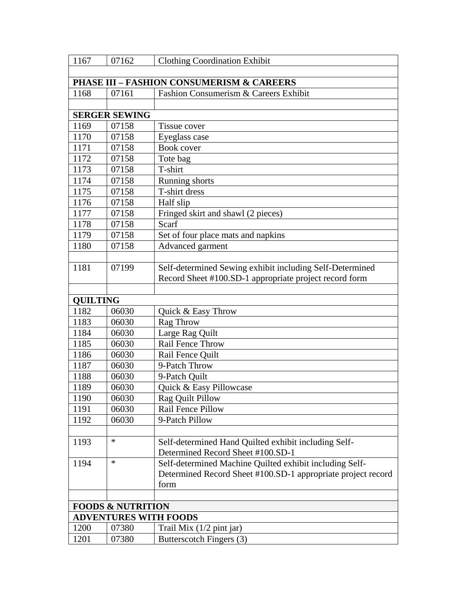| 1167            | 07162                        | <b>Clothing Coordination Exhibit</b>                         |
|-----------------|------------------------------|--------------------------------------------------------------|
|                 |                              |                                                              |
|                 |                              | <b>PHASE III - FASHION CONSUMERISM &amp; CAREERS</b>         |
| 1168            | 07161                        | Fashion Consumerism & Careers Exhibit                        |
|                 |                              |                                                              |
|                 | <b>SERGER SEWING</b>         |                                                              |
| 1169            | 07158                        | Tissue cover                                                 |
| 1170            | 07158                        | Eyeglass case                                                |
| 1171            | 07158                        | Book cover                                                   |
| 1172            | 07158                        | Tote bag                                                     |
| 1173            | 07158                        | T-shirt                                                      |
| 1174            | 07158                        | Running shorts                                               |
| 1175            | 07158                        | T-shirt dress                                                |
| 1176            | 07158                        | Half slip                                                    |
| 1177            | 07158                        | Fringed skirt and shawl (2 pieces)                           |
| 1178            | 07158                        | Scarf                                                        |
| 1179            | 07158                        | Set of four place mats and napkins                           |
| 1180            | 07158                        | Advanced garment                                             |
|                 |                              |                                                              |
| 1181            | 07199                        | Self-determined Sewing exhibit including Self-Determined     |
|                 |                              | Record Sheet #100.SD-1 appropriate project record form       |
|                 |                              |                                                              |
| <b>QUILTING</b> |                              |                                                              |
| 1182            | 06030                        | Quick & Easy Throw                                           |
| 1183            | 06030                        | Rag Throw                                                    |
| 1184            | 06030                        | Large Rag Quilt                                              |
| 1185            | 06030                        | Rail Fence Throw                                             |
| 1186            | 06030                        | Rail Fence Quilt                                             |
| 1187            | 06030                        | 9-Patch Throw                                                |
| 1188            | 06030                        | 9-Patch Quilt                                                |
| 1189            | 06030                        | Quick & Easy Pillowcase                                      |
| 1190            | 06030                        | Rag Quilt Pillow                                             |
| 1191            | 06030                        | Rail Fence Pillow                                            |
| 1192            | 06030                        | 9-Patch Pillow                                               |
|                 |                              |                                                              |
| 1193            | *                            | Self-determined Hand Quilted exhibit including Self-         |
|                 |                              | Determined Record Sheet #100.SD-1                            |
| 1194            | ∗                            | Self-determined Machine Quilted exhibit including Self-      |
|                 |                              | Determined Record Sheet #100.SD-1 appropriate project record |
|                 |                              | form                                                         |
|                 |                              |                                                              |
|                 | <b>FOODS &amp; NUTRITION</b> |                                                              |
|                 | <b>ADVENTURES WITH FOODS</b> |                                                              |
| 1200            | 07380                        | Trail Mix (1/2 pint jar)                                     |
| 1201            | 07380                        | Butterscotch Fingers (3)                                     |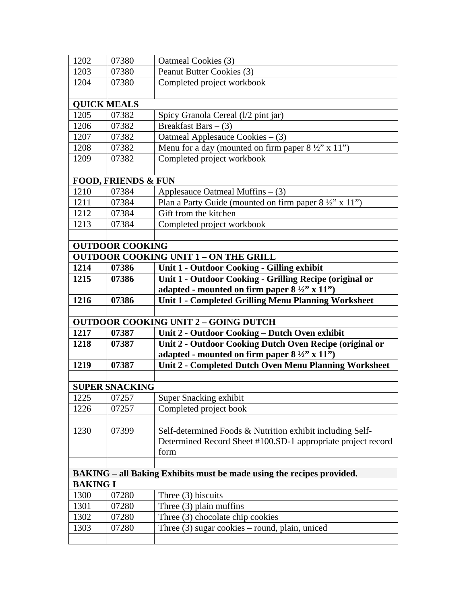| 1202               | 07380                          | Oatmeal Cookies (3)                                                          |
|--------------------|--------------------------------|------------------------------------------------------------------------------|
| 1203               | 07380                          | Peanut Butter Cookies (3)                                                    |
| 1204               | 07380                          | Completed project workbook                                                   |
|                    |                                |                                                                              |
| <b>QUICK MEALS</b> |                                |                                                                              |
| 1205               | 07382                          | Spicy Granola Cereal (1/2 pint jar)                                          |
| 1206               | 07382                          | Breakfast Bars $-$ (3)                                                       |
| 1207               | 07382                          | Oatmeal Applesauce Cookies - (3)                                             |
| 1208               | 07382                          | Menu for a day (mounted on firm paper $8\frac{1}{2}$ " x 11")                |
| 1209               | 07382                          | Completed project workbook                                                   |
|                    |                                |                                                                              |
|                    | <b>FOOD, FRIENDS &amp; FUN</b> |                                                                              |
| 1210               | 07384                          | Applesauce Oatmeal Muffins $-$ (3)                                           |
| 1211               | 07384                          | Plan a Party Guide (mounted on firm paper $8\frac{1}{2}$ " x 11")            |
| 1212               | 07384                          | Gift from the kitchen                                                        |
| 1213               | 07384                          | Completed project workbook                                                   |
|                    |                                |                                                                              |
|                    | <b>OUTDOOR COOKING</b>         |                                                                              |
|                    |                                | <b>OUTDOOR COOKING UNIT 1 - ON THE GRILL</b>                                 |
| 1214               | 07386                          | Unit 1 - Outdoor Cooking - Gilling exhibit                                   |
| 1215               | 07386                          | Unit 1 - Outdoor Cooking - Grilling Recipe (original or                      |
|                    |                                | adapted - mounted on firm paper $8\frac{1}{2}$ x 11")                        |
| 1216               | 07386                          | <b>Unit 1 - Completed Grilling Menu Planning Worksheet</b>                   |
|                    |                                |                                                                              |
|                    |                                | <b>OUTDOOR COOKING UNIT 2 - GOING DUTCH</b>                                  |
| 1217               | 07387                          | Unit 2 - Outdoor Cooking - Dutch Oven exhibit                                |
| 1218               | 07387                          | Unit 2 - Outdoor Cooking Dutch Oven Recipe (original or                      |
|                    |                                | adapted - mounted on firm paper $8\frac{1}{2}$ 'x 11'')                      |
| 1219               | 07387                          | Unit 2 - Completed Dutch Oven Menu Planning Worksheet                        |
|                    |                                |                                                                              |
|                    | <b>SUPER SNACKING</b>          |                                                                              |
| 1225   07257       |                                | Super Snacking exhibit                                                       |
| 1226               | 07257                          | Completed project book                                                       |
|                    |                                |                                                                              |
| 1230               |                                |                                                                              |
|                    | 07399                          | Self-determined Foods & Nutrition exhibit including Self-                    |
|                    |                                | Determined Record Sheet #100.SD-1 appropriate project record                 |
|                    |                                | form                                                                         |
|                    |                                |                                                                              |
|                    |                                | <b>BAKING</b> – all Baking Exhibits must be made using the recipes provided. |
| <b>BAKING I</b>    |                                |                                                                              |
| 1300               | 07280                          | Three $(3)$ biscuits                                                         |
| 1301               | 07280                          | Three $(3)$ plain muffins                                                    |
| 1302               | 07280                          | Three (3) chocolate chip cookies                                             |
| 1303               | 07280                          | Three $(3)$ sugar cookies – round, plain, uniced                             |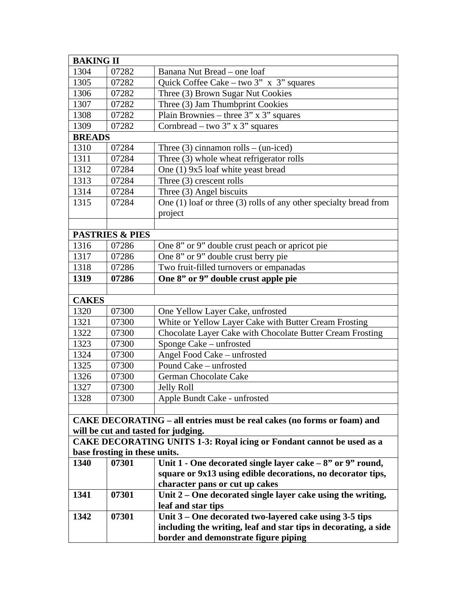| <b>BAKING II</b> |                               |                                                                                |
|------------------|-------------------------------|--------------------------------------------------------------------------------|
| 1304             | 07282                         | Banana Nut Bread - one loaf                                                    |
| 1305             | 07282                         | Quick Coffee Cake - two 3" x 3" squares                                        |
| 1306             | 07282                         | Three (3) Brown Sugar Nut Cookies                                              |
| 1307             | 07282                         | Three (3) Jam Thumbprint Cookies                                               |
| 1308             | 07282                         | Plain Brownies – three $3"$ x $3"$ squares                                     |
| 1309             | 07282                         | Cornbread – two $3$ " x $3$ " squares                                          |
| <b>BREADS</b>    |                               |                                                                                |
| 1310             | 07284                         | Three $(3)$ cinnamon rolls – (un-iced)                                         |
| 1311             | 07284                         | Three (3) whole wheat refrigerator rolls                                       |
| 1312             | 07284                         | One (1) 9x5 loaf white yeast bread                                             |
| 1313             | 07284                         | Three $(3)$ crescent rolls                                                     |
| 1314             | 07284                         | Three (3) Angel biscuits                                                       |
| 1315             | 07284                         | One $(1)$ loaf or three $(3)$ rolls of any other specialty bread from          |
|                  |                               | project                                                                        |
|                  |                               |                                                                                |
|                  | <b>PASTRIES &amp; PIES</b>    |                                                                                |
| 1316             | 07286                         | One 8" or 9" double crust peach or apricot pie                                 |
| 1317             | 07286                         | One 8" or 9" double crust berry pie                                            |
| 1318             | 07286                         | Two fruit-filled turnovers or empanadas                                        |
| 1319             | 07286                         | One 8" or 9" double crust apple pie                                            |
|                  |                               |                                                                                |
| <b>CAKES</b>     |                               |                                                                                |
| 1320             | 07300                         | One Yellow Layer Cake, unfrosted                                               |
| 1321             | 07300                         | White or Yellow Layer Cake with Butter Cream Frosting                          |
| 1322             | 07300                         | Chocolate Layer Cake with Chocolate Butter Cream Frosting                      |
| 1323             | 07300                         | Sponge Cake - unfrosted                                                        |
| 1324             | 07300                         | Angel Food Cake - unfrosted                                                    |
| 1325             | 07300                         | Pound Cake - unfrosted                                                         |
| 1326             | 07300                         | German Chocolate Cake                                                          |
| 1327             | 07300                         | <b>Jelly Roll</b>                                                              |
| 1328             | 07300                         | Apple Bundt Cake - unfrosted                                                   |
|                  |                               |                                                                                |
|                  |                               | <b>CAKE DECORATING – all entries must be real cakes (no forms or foam) and</b> |
|                  |                               | will be cut and tasted for judging.                                            |
|                  |                               | <b>CAKE DECORATING UNITS 1-3: Royal icing or Fondant cannot be used as a</b>   |
|                  | base frosting in these units. |                                                                                |
| 1340             | 07301                         | Unit $1$ - One decorated single layer cake $-8$ " or 9" round,                 |
|                  |                               | square or 9x13 using edible decorations, no decorator tips,                    |
|                  |                               | character pans or cut up cakes                                                 |
| 1341             | 07301                         | Unit $2$ – One decorated single layer cake using the writing,                  |
|                  |                               | leaf and star tips                                                             |
| 1342             | 07301                         | Unit 3 – One decorated two-layered cake using 3-5 tips                         |
|                  |                               | including the writing, leaf and star tips in decorating, a side                |
|                  |                               | border and demonstrate figure piping                                           |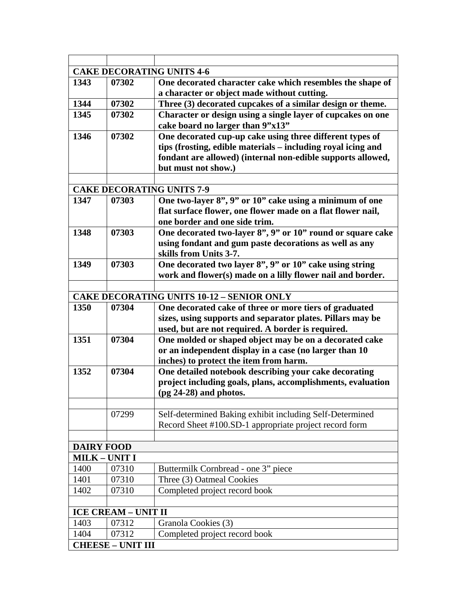|                      |                                   | <b>CAKE DECORATING UNITS 4-6</b>                             |
|----------------------|-----------------------------------|--------------------------------------------------------------|
| 1343                 | 07302                             | One decorated character cake which resembles the shape of    |
|                      |                                   | a character or object made without cutting.                  |
| 1344                 | 07302                             | Three (3) decorated cupcakes of a similar design or theme.   |
| 1345                 | 07302                             | Character or design using a single layer of cupcakes on one  |
|                      |                                   | cake board no larger than 9"x13"                             |
| 1346                 | 07302                             | One decorated cup-up cake using three different types of     |
|                      |                                   | tips (frosting, edible materials - including royal icing and |
|                      |                                   | fondant are allowed) (internal non-edible supports allowed,  |
|                      |                                   | but must not show.)                                          |
|                      |                                   |                                                              |
|                      |                                   | <b>CAKE DECORATING UNITS 7-9</b>                             |
| 1347                 | 07303                             | One two-layer 8", 9" or 10" cake using a minimum of one      |
|                      |                                   | flat surface flower, one flower made on a flat flower nail,  |
|                      |                                   | one border and one side trim.                                |
| 1348                 | 07303                             | One decorated two-layer 8", 9" or 10" round or square cake   |
|                      |                                   | using fondant and gum paste decorations as well as any       |
|                      |                                   | skills from Units 3-7.                                       |
| 1349                 | 07303                             | One decorated two layer 8", 9" or 10" cake using string      |
|                      |                                   | work and flower(s) made on a lilly flower nail and border.   |
|                      |                                   |                                                              |
|                      |                                   | <b>CAKE DECORATING UNITS 10-12 - SENIOR ONLY</b>             |
| 1350                 | 07304                             | One decorated cake of three or more tiers of graduated       |
|                      |                                   | sizes, using supports and separator plates. Pillars may be   |
|                      |                                   | used, but are not required. A border is required.            |
| 1351                 | 07304                             | One molded or shaped object may be on a decorated cake       |
|                      |                                   | or an independent display in a case (no larger than 10       |
|                      |                                   |                                                              |
|                      |                                   | inches) to protect the item from harm.                       |
| 1352                 | 07304                             | One detailed notebook describing your cake decorating        |
|                      |                                   | project including goals, plans, accomplishments, evaluation  |
|                      |                                   | $(pg 24-28)$ and photos.                                     |
|                      |                                   |                                                              |
|                      | 07299                             | Self-determined Baking exhibit including Self-Determined     |
|                      |                                   | Record Sheet #100.SD-1 appropriate project record form       |
|                      |                                   |                                                              |
| <b>DAIRY FOOD</b>    |                                   |                                                              |
| <b>MILK - UNIT I</b> |                                   |                                                              |
| 1400                 | 07310                             | Buttermilk Cornbread - one 3" piece                          |
| 1401                 | 07310                             | Three (3) Oatmeal Cookies                                    |
| 1402                 | 07310                             | Completed project record book                                |
|                      |                                   |                                                              |
|                      | <b>ICE CREAM - UNIT II</b>        |                                                              |
| 1403                 | 07312                             | Granola Cookies (3)                                          |
| 1404                 | 07312<br><b>CHEESE - UNIT III</b> | Completed project record book                                |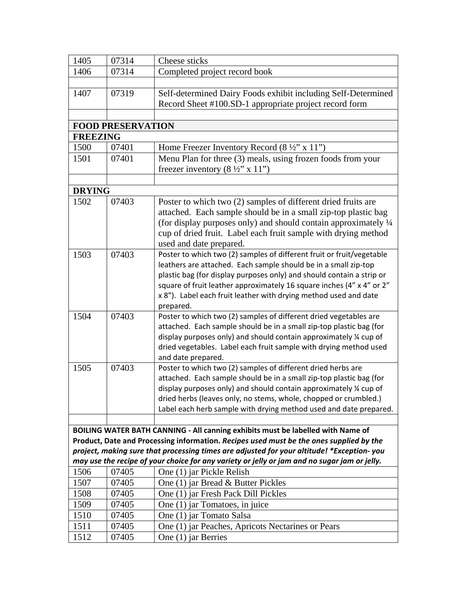| 1405            | 07314                    | Cheese sticks                                                                                                                                                                        |
|-----------------|--------------------------|--------------------------------------------------------------------------------------------------------------------------------------------------------------------------------------|
| 1406            | 07314                    | Completed project record book                                                                                                                                                        |
|                 |                          |                                                                                                                                                                                      |
| 1407            | 07319                    | Self-determined Dairy Foods exhibit including Self-Determined                                                                                                                        |
|                 |                          | Record Sheet #100.SD-1 appropriate project record form                                                                                                                               |
|                 |                          |                                                                                                                                                                                      |
|                 | <b>FOOD PRESERVATION</b> |                                                                                                                                                                                      |
| <b>FREEZING</b> |                          |                                                                                                                                                                                      |
| 1500            | 07401                    | Home Freezer Inventory Record $(8 \frac{1}{2}$ " x 11")                                                                                                                              |
| 1501            | 07401                    | Menu Plan for three (3) meals, using frozen foods from your                                                                                                                          |
|                 |                          | freezer inventory $(8 \frac{1}{2}$ " x 11")                                                                                                                                          |
|                 |                          |                                                                                                                                                                                      |
| <b>DRYING</b>   |                          |                                                                                                                                                                                      |
| 1502            | 07403                    | Poster to which two (2) samples of different dried fruits are                                                                                                                        |
|                 |                          | attached. Each sample should be in a small zip-top plastic bag                                                                                                                       |
|                 |                          | (for display purposes only) and should contain approximately 1/4                                                                                                                     |
|                 |                          | cup of dried fruit. Label each fruit sample with drying method                                                                                                                       |
|                 |                          | used and date prepared.                                                                                                                                                              |
| 1503            | 07403                    | Poster to which two (2) samples of different fruit or fruit/vegetable<br>leathers are attached. Each sample should be in a small zip-top                                             |
|                 |                          | plastic bag (for display purposes only) and should contain a strip or                                                                                                                |
|                 |                          | square of fruit leather approximately 16 square inches (4" x 4" or 2"                                                                                                                |
|                 |                          | x 8"). Label each fruit leather with drying method used and date                                                                                                                     |
|                 |                          | prepared.                                                                                                                                                                            |
| 1504            | 07403                    | Poster to which two (2) samples of different dried vegetables are                                                                                                                    |
|                 |                          | attached. Each sample should be in a small zip-top plastic bag (for                                                                                                                  |
|                 |                          | display purposes only) and should contain approximately 1/4 cup of                                                                                                                   |
|                 |                          | dried vegetables. Label each fruit sample with drying method used                                                                                                                    |
|                 |                          | and date prepared.                                                                                                                                                                   |
| 1505            | 07403                    | Poster to which two (2) samples of different dried herbs are                                                                                                                         |
|                 |                          | attached. Each sample should be in a small zip-top plastic bag (for                                                                                                                  |
|                 |                          | display purposes only) and should contain approximately % cup of                                                                                                                     |
|                 |                          | dried herbs (leaves only, no stems, whole, chopped or crumbled.)                                                                                                                     |
|                 |                          | Label each herb sample with drying method used and date prepared.                                                                                                                    |
|                 |                          |                                                                                                                                                                                      |
|                 |                          | BOILING WATER BATH CANNING - All canning exhibits must be labelled with Name of                                                                                                      |
|                 |                          | Product, Date and Processing information. Recipes used must be the ones supplied by the<br>project, making sure that processing times are adjusted for your altitude! *Exception-you |
|                 |                          | may use the recipe of your choice for any variety or jelly or jam and no sugar jam or jelly.                                                                                         |
| 1506            | 07405                    | One (1) jar Pickle Relish                                                                                                                                                            |
| 1507            | 07405                    | One (1) jar Bread & Butter Pickles                                                                                                                                                   |
| 1508            | 07405                    | One (1) jar Fresh Pack Dill Pickles                                                                                                                                                  |
| 1509            | 07405                    | One (1) jar Tomatoes, in juice                                                                                                                                                       |
| 1510            | 07405                    | One (1) jar Tomato Salsa                                                                                                                                                             |
| 1511            | 07405                    | One (1) jar Peaches, Apricots Nectarines or Pears                                                                                                                                    |
| 1512            | 07405                    | One (1) jar Berries                                                                                                                                                                  |
|                 |                          |                                                                                                                                                                                      |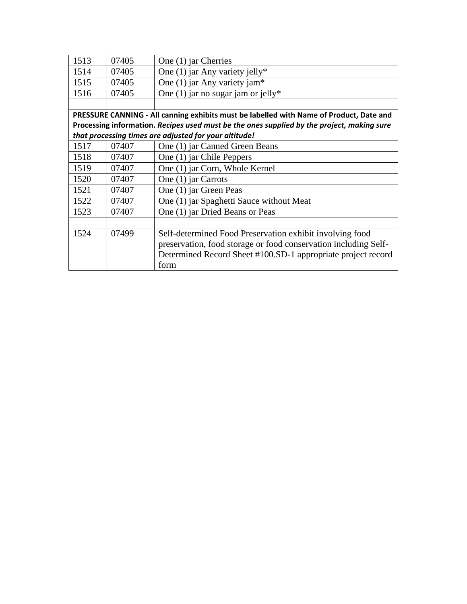| 1513                                                  | 07405                                                                                      | One (1) jar Cherries                                                                    |  |
|-------------------------------------------------------|--------------------------------------------------------------------------------------------|-----------------------------------------------------------------------------------------|--|
| 1514                                                  | 07405                                                                                      | One (1) jar Any variety jelly*                                                          |  |
| 1515                                                  | 07405                                                                                      | One $(1)$ jar Any variety jam*                                                          |  |
| 1516                                                  | 07405                                                                                      | One (1) jar no sugar jam or jelly*                                                      |  |
|                                                       |                                                                                            |                                                                                         |  |
|                                                       |                                                                                            | PRESSURE CANNING - All canning exhibits must be labelled with Name of Product, Date and |  |
|                                                       | Processing information. Recipes used must be the ones supplied by the project, making sure |                                                                                         |  |
| that processing times are adjusted for your altitude! |                                                                                            |                                                                                         |  |
| 1517                                                  | 07407                                                                                      | One (1) jar Canned Green Beans                                                          |  |
| 1518                                                  | 07407                                                                                      | One (1) jar Chile Peppers                                                               |  |
| 1519                                                  | 07407                                                                                      | One (1) jar Corn, Whole Kernel                                                          |  |
| 1520                                                  | 07407                                                                                      | One (1) jar Carrots                                                                     |  |
| 1521                                                  | 07407                                                                                      | One (1) jar Green Peas                                                                  |  |
| 1522                                                  | 07407                                                                                      | One (1) jar Spaghetti Sauce without Meat                                                |  |
| 1523                                                  | 07407                                                                                      | One (1) jar Dried Beans or Peas                                                         |  |
|                                                       |                                                                                            |                                                                                         |  |
| 1524                                                  | 07499                                                                                      | Self-determined Food Preservation exhibit involving food                                |  |
|                                                       |                                                                                            | preservation, food storage or food conservation including Self-                         |  |
|                                                       |                                                                                            | Determined Record Sheet #100.SD-1 appropriate project record                            |  |
|                                                       |                                                                                            | form                                                                                    |  |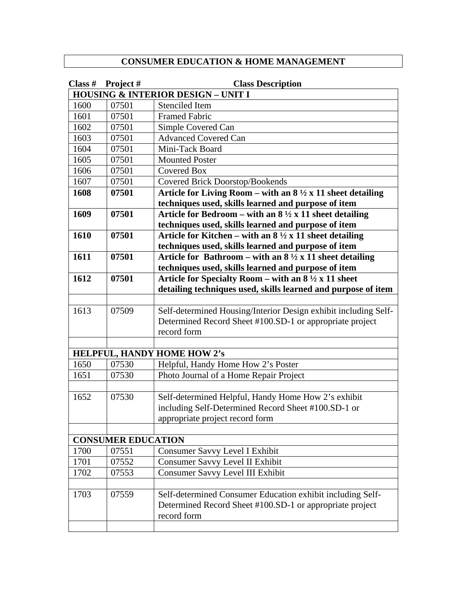## **CONSUMER EDUCATION & HOME MANAGEMENT**

| Class $#$ | Project#                  | <b>Class Description</b>                                                   |
|-----------|---------------------------|----------------------------------------------------------------------------|
|           |                           | <b>HOUSING &amp; INTERIOR DESIGN - UNIT I</b>                              |
| 1600      | 07501                     | <b>Stenciled Item</b>                                                      |
| 1601      | 07501                     | <b>Framed Fabric</b>                                                       |
| 1602      | 07501                     | Simple Covered Can                                                         |
| 1603      | 07501                     | <b>Advanced Covered Can</b>                                                |
| 1604      | 07501                     | Mini-Tack Board                                                            |
| 1605      | 07501                     | <b>Mounted Poster</b>                                                      |
| 1606      | 07501                     | <b>Covered Box</b>                                                         |
| 1607      | 07501                     | Covered Brick Doorstop/Bookends                                            |
| 1608      | 07501                     | Article for Living Room – with an $8\frac{1}{2} \times 11$ sheet detailing |
|           |                           | techniques used, skills learned and purpose of item                        |
| 1609      | 07501                     | Article for Bedroom – with an $8\frac{1}{2}$ x 11 sheet detailing          |
|           |                           | techniques used, skills learned and purpose of item                        |
| 1610      | 07501                     | Article for Kitchen – with an $8\frac{1}{2} \times 11$ sheet detailing     |
|           |                           | techniques used, skills learned and purpose of item                        |
| 1611      | 07501                     | Article for Bathroom – with an $8\frac{1}{2}x$ 11 sheet detailing          |
|           |                           | techniques used, skills learned and purpose of item                        |
| 1612      | 07501                     | Article for Specialty Room – with an $8\frac{1}{2}x$ 11 sheet              |
|           |                           | detailing techniques used, skills learned and purpose of item              |
|           |                           |                                                                            |
| 1613      | 07509                     | Self-determined Housing/Interior Design exhibit including Self-            |
|           |                           | Determined Record Sheet #100.SD-1 or appropriate project                   |
|           |                           | record form                                                                |
|           |                           |                                                                            |
|           |                           | <b>HELPFUL, HANDY HOME HOW 2's</b>                                         |
| 1650      | 07530                     | Helpful, Handy Home How 2's Poster                                         |
| 1651      | 07530                     | Photo Journal of a Home Repair Project                                     |
|           |                           |                                                                            |
| 1652      | 07530                     | Self-determined Helpful, Handy Home How 2's exhibit                        |
|           |                           | including Self-Determined Record Sheet #100.SD-1 or                        |
|           |                           | appropriate project record form                                            |
|           |                           |                                                                            |
|           | <b>CONSUMER EDUCATION</b> |                                                                            |
| 1700      | 07551                     | Consumer Savvy Level I Exhibit                                             |
| 1701      | 07552                     | Consumer Savvy Level II Exhibit                                            |
| 1702      | 07553                     | <b>Consumer Savvy Level III Exhibit</b>                                    |
|           |                           |                                                                            |
| 1703      | 07559                     | Self-determined Consumer Education exhibit including Self-                 |
|           |                           | Determined Record Sheet #100.SD-1 or appropriate project                   |
|           |                           | record form                                                                |
|           |                           |                                                                            |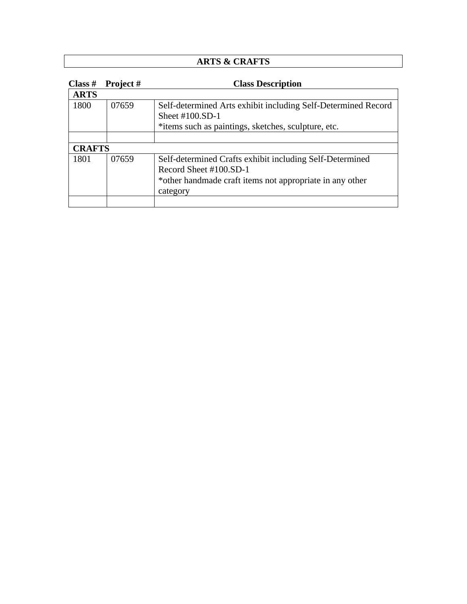## **ARTS & CRAFTS**

| Class $#$     | Project# | <b>Class Description</b>                                                                                                                                   |
|---------------|----------|------------------------------------------------------------------------------------------------------------------------------------------------------------|
| <b>ARTS</b>   |          |                                                                                                                                                            |
| 1800          | 07659    | Self-determined Arts exhibit including Self-Determined Record<br>Sheet $\#100$ .SD-1                                                                       |
|               |          | *items such as paintings, sketches, sculpture, etc.                                                                                                        |
| <b>CRAFTS</b> |          |                                                                                                                                                            |
| 1801          | 07659    | Self-determined Crafts exhibit including Self-Determined<br>Record Sheet #100.SD-1<br>*other handmade craft items not appropriate in any other<br>category |
|               |          |                                                                                                                                                            |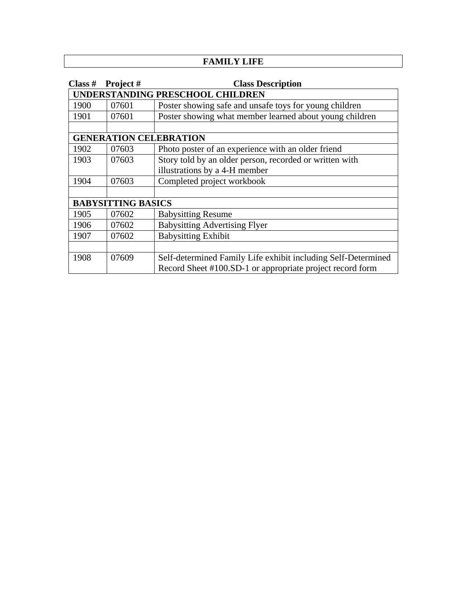### **FAMILY LIFE**

| Class #                       | Project# | <b>Class Description</b>                                      |
|-------------------------------|----------|---------------------------------------------------------------|
|                               |          | UNDERSTANDING PRESCHOOL CHILDREN                              |
| 1900                          | 07601    | Poster showing safe and unsafe toys for young children        |
| 1901                          | 07601    | Poster showing what member learned about young children       |
|                               |          |                                                               |
| <b>GENERATION CELEBRATION</b> |          |                                                               |
| 1902                          | 07603    | Photo poster of an experience with an older friend            |
| 1903                          | 07603    | Story told by an older person, recorded or written with       |
|                               |          | illustrations by a 4-H member                                 |
| 1904                          | 07603    | Completed project workbook                                    |
|                               |          |                                                               |
| <b>BABYSITTING BASICS</b>     |          |                                                               |
| 1905                          | 07602    | <b>Babysitting Resume</b>                                     |
| 1906                          | 07602    | <b>Babysitting Advertising Flyer</b>                          |
| 1907                          | 07602    | <b>Babysitting Exhibit</b>                                    |
|                               |          |                                                               |
| 1908                          | 07609    | Self-determined Family Life exhibit including Self-Determined |
|                               |          | Record Sheet #100.SD-1 or appropriate project record form     |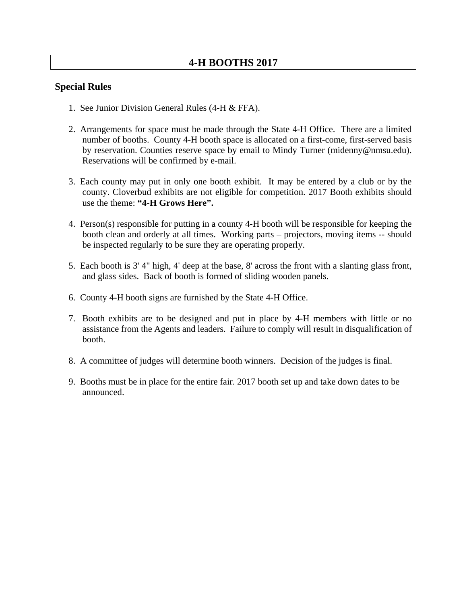### **Special Rules**

- 1. See Junior Division General Rules (4-H & FFA).
- 2. Arrangements for space must be made through the State 4-H Office. There are a limited number of booths. County 4-H booth space is allocated on a first-come, first-served basis by reservation. Counties reserve space by email to Mindy Turner (midenny@nmsu.edu). Reservations will be confirmed by e-mail.
- 3. Each county may put in only one booth exhibit. It may be entered by a club or by the county. Cloverbud exhibits are not eligible for competition. 2017 Booth exhibits should use the theme: **"4-H Grows Here".**
- 4. Person(s) responsible for putting in a county 4-H booth will be responsible for keeping the booth clean and orderly at all times. Working parts – projectors, moving items -- should be inspected regularly to be sure they are operating properly.
- 5. Each booth is 3' 4" high, 4' deep at the base, 8' across the front with a slanting glass front, and glass sides. Back of booth is formed of sliding wooden panels.
- 6. County 4-H booth signs are furnished by the State 4-H Office.
- 7. Booth exhibits are to be designed and put in place by 4-H members with little or no assistance from the Agents and leaders. Failure to comply will result in disqualification of booth.
- 8. A committee of judges will determine booth winners. Decision of the judges is final.
- 9. Booths must be in place for the entire fair. 2017 booth set up and take down dates to be announced.